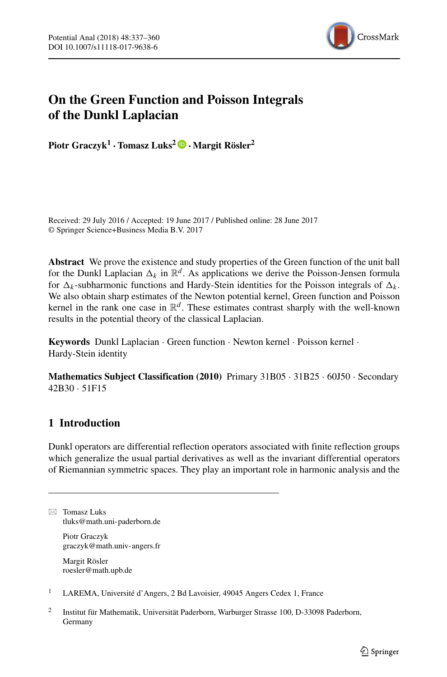

# **On the Green Function and Poisson Integrals of the Dunkl Laplacian**

**Piotr Graczyk1 ·Tomasz Luks<sup>2</sup> · Margit Rosler ¨ <sup>2</sup>**

Received: 29 July 2016 / Accepted: 19 June 2017 / Published online: 28 June 2017 © Springer Science+Business Media B.V. 2017

**Abstract** We prove the existence and study properties of the Green function of the unit ball for the Dunkl Laplacian  $\Delta_k$  in  $\mathbb{R}^d$ . As applications we derive the Poisson-Jensen formula for  $\Delta_k$ -subharmonic functions and Hardy-Stein identities for the Poisson integrals of  $\Delta_k$ . We also obtain sharp estimates of the Newton potential kernel, Green function and Poisson kernel in the rank one case in  $\mathbb{R}^d$ . These estimates contrast sharply with the well-known results in the potential theory of the classical Laplacian.

**Keywords** Dunkl Laplacian · Green function · Newton kernel · Poisson kernel · Hardy-Stein identity

**Mathematics Subject Classification (2010)** Primary 31B05 · 31B25 · 60J50 · Secondary 42B30 · 51F15

# **1 Introduction**

Dunkl operators are differential reflection operators associated with finite reflection groups which generalize the usual partial derivatives as well as the invariant differential operators of Riemannian symmetric spaces. They play an important role in harmonic analysis and the

 $\boxtimes$  Tomasz Luks [tluks@math.uni-paderborn.de](mailto:tluks@math.uni-paderborn.de)

> Piotr Graczyk [graczyk@math.univ-angers.fr](mailto:graczyk@math.univ-angers.fr)

Margit Rösler [roesler@math.upb.de](mailto:roesler@math.upb.de)

<sup>1</sup> LAREMA, Université d'Angers, 2 Bd Lavoisier, 49045 Angers Cedex 1, France

<sup>2</sup> Institut für Mathematik, Universität Paderborn, Warburger Strasse 100, D-33098 Paderborn, Germany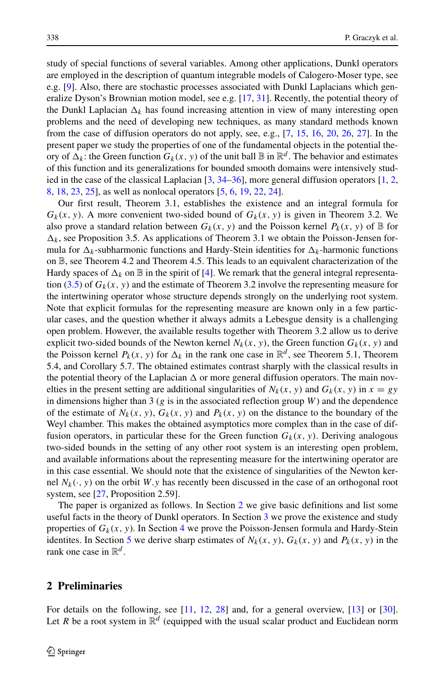study of special functions of several variables. Among other applications, Dunkl operators are employed in the description of quantum integrable models of Calogero-Moser type, see e.g. [\[9\]](#page-22-0). Also, there are stochastic processes associated with Dunkl Laplacians which generalize Dyson's Brownian motion model, see e.g. [\[17,](#page-22-1) [31\]](#page-23-0). Recently, the potential theory of the Dunkl Laplacian  $\Delta_k$  has found increasing attention in view of many interesting open problems and the need of developing new techniques, as many standard methods known from the case of diffusion operators do not apply, see, e.g., [\[7,](#page-22-2) [15,](#page-22-3) [16,](#page-22-4) [20,](#page-22-5) [26,](#page-23-1) [27\]](#page-23-2). In the present paper we study the properties of one of the fundamental objects in the potential theory of  $\Delta_k$ : the Green function  $G_k(x, y)$  of the unit ball  $\mathbb B$  in  $\mathbb R^d$ . The behavior and estimates of this function and its generalizations for bounded smooth domains were intensively studied in the case of the classical Laplacian  $[3, 34–36]$  $[3, 34–36]$  $[3, 34–36]$  $[3, 34–36]$ , more general diffusion operators  $[1, 2]$  $[1, 2]$ , [8,](#page-22-9) [18,](#page-22-10) [23,](#page-23-5) [25\]](#page-23-6), as well as nonlocal operators [\[5,](#page-22-11) [6,](#page-22-12) [19,](#page-22-13) [22,](#page-23-7) [24\]](#page-23-8).

Our first result, Theorem 3.1, establishes the existence and an integral formula for  $G_k(x, y)$ . A more convenient two-sided bound of  $G_k(x, y)$  is given in Theorem 3.2. We also prove a standard relation between  $G_k(x, y)$  and the Poisson kernel  $P_k(x, y)$  of  $\mathbb B$  for  $\Delta_k$ , see Proposition 3.5. As applications of Theorem 3.1 we obtain the Poisson-Jensen formula for  $\Delta_k$ -subharmonic functions and Hardy-Stein identities for  $\Delta_k$ -harmonic functions on B, see Theorem 4.2 and Theorem 4.5. This leads to an equivalent characterization of the Hardy spaces of  $\Delta_k$  on  $\mathbb B$  in the spirit of [\[4\]](#page-22-14). We remark that the general integral representa-tion [\(3.5\)](#page-5-0) of  $G_k(x, y)$  and the estimate of Theorem 3.2 involve the representing measure for the intertwining operator whose structure depends strongly on the underlying root system. Note that explicit formulas for the representing measure are known only in a few particular cases, and the question whether it always admits a Lebesgue density is a challenging open problem. However, the available results together with Theorem 3.2 allow us to derive explicit two-sided bounds of the Newton kernel  $N_k(x, y)$ , the Green function  $G_k(x, y)$  and the Poisson kernel  $P_k(x, y)$  for  $\Delta_k$  in the rank one case in  $\mathbb{R}^d$ , see Theorem 5.1, Theorem 5.4, and Corollary 5.7. The obtained estimates contrast sharply with the classical results in the potential theory of the Laplacian  $\Delta$  or more general diffusion operators. The main novelties in the present setting are additional singularities of  $N_k(x, y)$  and  $G_k(x, y)$  in  $x = gy$ in dimensions higher than 3 (*g* is in the associated reflection group *W*) and the dependence of the estimate of  $N_k(x, y)$ ,  $G_k(x, y)$  and  $P_k(x, y)$  on the distance to the boundary of the Weyl chamber. This makes the obtained asymptotics more complex than in the case of diffusion operators, in particular these for the Green function  $G_k(x, y)$ . Deriving analogous two-sided bounds in the setting of any other root system is an interesting open problem, and available informations about the representing measure for the intertwining operator are in this case essential. We should note that the existence of singularities of the Newton kernel  $N_k(\cdot, y)$  on the orbit  $W \cdot y$  has recently been discussed in the case of an orthogonal root system, see [\[27,](#page-23-2) Proposition 2.59].

The paper is organized as follows. In Section [2](#page-1-0) we give basic definitions and list some useful facts in the theory of Dunkl operators. In Section [3](#page-4-0) we prove the existence and study properties of  $G_k(x, y)$ . In Section [4](#page-7-0) we prove the Poisson-Jensen formula and Hardy-Stein identites. In Section [5](#page-13-0) we derive sharp estimates of  $N_k(x, y)$ ,  $G_k(x, y)$  and  $P_k(x, y)$  in the rank one case in  $\mathbb{R}^d$ .

#### <span id="page-1-0"></span>**2 Preliminaries**

For details on the following, see [\[11,](#page-22-15) [12,](#page-22-16) [28\]](#page-23-9) and, for a general overview, [\[13\]](#page-22-17) or [\[30\]](#page-23-10). Let *R* be a root system in  $\mathbb{R}^d$  (equipped with the usual scalar product and Euclidean norm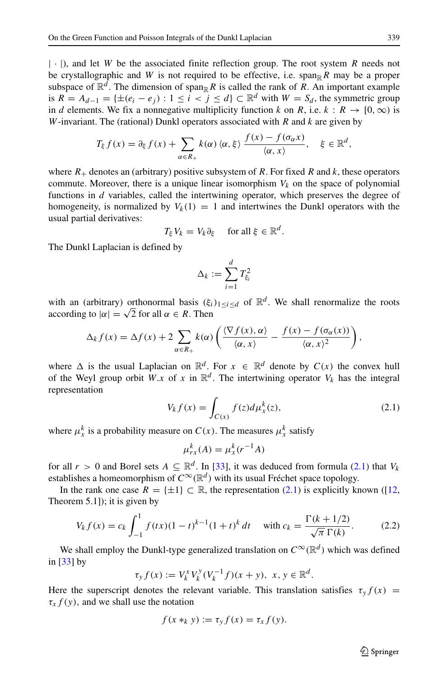|·|), and let *W* be the associated finite reflection group. The root system *R* needs not be crystallographic and *W* is not required to be effective, i.e. span<sub>R</sub>*R* may be a proper subspace of  $\mathbb{R}^d$ . The dimension of span<sub>R</sub> R is called the rank of R. An important example is *R* = *A<sub>d−1</sub>* = { $\pm (e_i - e_j)$  : 1 ≤ *i* < *j* ≤ *d*} ⊂  $\mathbb{R}^d$  with *W* = *S<sub>d</sub>*, the symmetric group in *d* elements. We fix a nonnegative multiplicity function *k* on *R*, i.e.  $k : R \to [0, \infty)$  is *W*-invariant. The (rational) Dunkl operators associated with *R* and *k* are given by

$$
T_{\xi} f(x) = \partial_{\xi} f(x) + \sum_{\alpha \in R_+} k(\alpha) \langle \alpha, \xi \rangle \frac{f(x) - f(\sigma_{\alpha} x)}{\langle \alpha, x \rangle}, \quad \xi \in \mathbb{R}^d,
$$

where  $R_+$  denotes an (arbitrary) positive subsystem of R. For fixed R and k, these operators commute. Moreover, there is a unique linear isomorphism  $V_k$  on the space of polynomial functions in *d* variables, called the intertwining operator, which preserves the degree of homogeneity, is normalized by  $V_k(1) = 1$  and intertwines the Dunkl operators with the usual partial derivatives:

$$
T_{\xi}V_k = V_k \partial_{\xi} \quad \text{ for all } \xi \in \mathbb{R}^d.
$$

The Dunkl Laplacian is defined by

$$
\Delta_k := \sum_{i=1}^d T_{\xi_i}^2
$$

with an (arbitrary) orthonormal basis  $(\xi_i)_{1 \leq i \leq d}$  of  $\mathbb{R}^d$ . We shall renormalize the roots according to  $|\alpha| = \sqrt{2}$  for all  $\alpha \in R$ . Then

$$
\Delta_k f(x) = \Delta f(x) + 2 \sum_{\alpha \in R_+} k(\alpha) \left( \frac{\langle \nabla f(x), \alpha \rangle}{\langle \alpha, x \rangle} - \frac{f(x) - f(\sigma_\alpha(x))}{\langle \alpha, x \rangle^2} \right)
$$

where  $\Delta$  is the usual Laplacian on  $\mathbb{R}^d$ . For  $x \in \mathbb{R}^d$  denote by  $C(x)$  the convex hull of the Weyl group orbit  $\hat{W}.x$  of  $x$  in  $\mathbb{R}^d$ . The intertwining operator  $V_k$  has the integral representation

<span id="page-2-0"></span>
$$
V_k f(x) = \int_{C(x)} f(z) d\mu_x^k(z), \qquad (2.1)
$$

where  $\mu_x^k$  is a probability measure on  $C(x)$ . The measures  $\mu_x^k$  satisfy

$$
\mu_{rx}^k(A) = \mu_x^k(r^{-1}A)
$$

for all  $r > 0$  and Borel sets  $A \subseteq \mathbb{R}^d$ . In [\[33\]](#page-23-11), it was deduced from formula [\(2.1\)](#page-2-0) that  $V_k$ establishes a homeomorphism of  $C^{\infty}(\mathbb{R}^d)$  with its usual Fréchet space topology.

In the rank one case  $R = \{\pm 1\} \subset \mathbb{R}$ , the representation [\(2.1\)](#page-2-0) is explicitly known ([\[12,](#page-22-16) Theorem 5.1]); it is given by

<span id="page-2-1"></span>
$$
V_k f(x) = c_k \int_{-1}^1 f(tx)(1-t)^{k-1}(1+t)^k dt \quad \text{with } c_k = \frac{\Gamma(k+1/2)}{\sqrt{\pi} \Gamma(k)}.
$$
 (2.2)

We shall employ the Dunkl-type generalized translation on  $C^{\infty}(\mathbb{R}^d)$  which was defined in [\[33\]](#page-23-11) by

$$
\tau_{y} f(x) := V_{k}^{x} V_{k}^{y} (V_{k}^{-1} f)(x + y), \ x, y \in \mathbb{R}^{d}.
$$

Here the superscript denotes the relevant variable. This translation satisfies  $\tau_y f(x)$  =  $\tau_x f(y)$ , and we shall use the notation

$$
f(x *_{k} y) := \tau_{y} f(x) = \tau_{x} f(y).
$$

 $\textcircled{2}$  Springer

*,*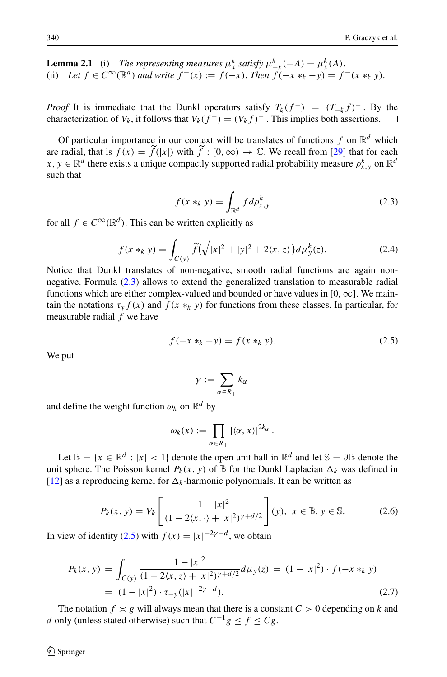**Lemma 2.1** (i) *The representing measures*  $\mu_x^k$  *satisfy*  $\mu_{-x}^k(-A) = \mu_x^k(A)$ . (ii) *Let*  $f \in C^{\infty}(\mathbb{R}^d)$  *and write*  $f^{-}(x) := f(-x)$ *. Then*  $f(-x *_{k} - y) = f^{-}(x *_{k} y)$ *.* 

*Proof* It is immediate that the Dunkl operators satisfy  $T_{\xi}(f^{-}) = (T_{-\xi}f)^{-}$ . By the characterization of  $V_k$ , it follows that  $V_k(f^{-}) = (V_k f)^{-}$ . This implies both assertions. characterization of *V<sub>k</sub>*, it follows that  $V_k(f^-) = (V_k f)^-$ . This implies both assertions.

Of particular importance in our context will be translates of functions  $f$  on  $\mathbb{R}^d$  which are radial, that is  $f(x) = \tilde{f}(|x|)$  with  $\tilde{f}$  :  $[0, \infty) \to \mathbb{C}$ . We recall from [\[29\]](#page-23-12) that for each  $\mathbb{R}^d$  the set of the set of the set of the set of the set of the set of the set of the set of the set of the s  $x, y \in \mathbb{R}^d$  there exists a unique compactly supported radial probability measure  $\rho_{x,y}^k$  on  $\mathbb{R}^d$ such that

<span id="page-3-0"></span>
$$
f(x *_{k} y) = \int_{\mathbb{R}^{d}} f d\rho_{x,y}^{k}
$$
 (2.3)

for all  $f \in C^{\infty}(\mathbb{R}^d)$ . This can be written explicitly as

$$
f(x *_{k} y) = \int_{C(y)} \widetilde{f}(\sqrt{|x|^{2} + |y|^{2} + 2\langle x, z\rangle}) d\mu_{y}^{k}(z).
$$
 (2.4)

Notice that Dunkl translates of non-negative, smooth radial functions are again nonnegative. Formula [\(2.3\)](#page-3-0) allows to extend the generalized translation to measurable radial functions which are either complex-valued and bounded or have values in [0,  $\infty$ ]. We maintain the notations  $\tau_y f(x)$  and  $f(x *_{k} y)$  for functions from these classes. In particular, for measurable radial *f* we have

<span id="page-3-1"></span>
$$
f(-x *_{k} - y) = f(x *_{k} y).
$$
 (2.5)

We put

$$
\gamma := \sum_{\alpha \in R_+} k_\alpha
$$

and define the weight function  $\omega_k$  on  $\mathbb{R}^d$  by

$$
\omega_k(x) := \prod_{\alpha \in R_+} |\langle \alpha, x \rangle|^{2k_{\alpha}}.
$$

Let  $\mathbb{B} = \{x \in \mathbb{R}^d : |x| < 1\}$  denote the open unit ball in  $\mathbb{R}^d$  and let  $\mathbb{S} = \partial \mathbb{B}$  denote the unit sphere. The Poisson kernel  $P_k(x, y)$  of  $\overline{B}$  for the Dunkl Laplacian  $\Delta_k$  was defined in [\[12\]](#page-22-16) as a reproducing kernel for  $\Delta_k$ -harmonic polynomials. It can be written as

$$
P_k(x, y) = V_k \left[ \frac{1 - |x|^2}{(1 - 2\langle x, \cdot \rangle + |x|^2)^{\gamma + d/2}} \right] (y), \ x \in \mathbb{B}, y \in \mathbb{S}.
$$
 (2.6)

In view of identity [\(2.5\)](#page-3-1) with  $f(x) = |x|^{-2\gamma - d}$ , we obtain

<span id="page-3-2"></span>
$$
P_k(x, y) = \int_{C(y)} \frac{1 - |x|^2}{(1 - 2\langle x, z \rangle + |x|^2)^{\gamma + d/2}} d\mu_y(z) = (1 - |x|^2) \cdot f(-x *_{k} y)
$$
  
=  $(1 - |x|^2) \cdot \tau_{-y}(|x|^{-2\gamma - d}).$  (2.7)

The notation  $f \ge g$  will always mean that there is a constant  $C > 0$  depending on k and *d* only (unless stated otherwise) such that  $C^{-1}g \le f \le Cg$ .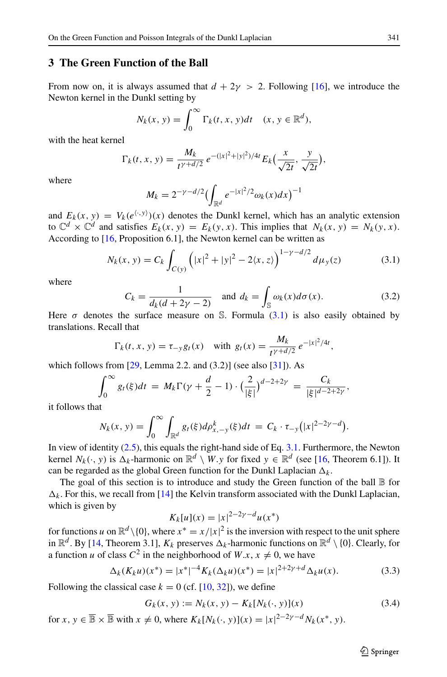### <span id="page-4-0"></span>**3 The Green Function of the Ball**

From now on, it is always assumed that  $d + 2\gamma > 2$ . Following [\[16\]](#page-22-4), we introduce the Newton kernel in the Dunkl setting by

$$
N_k(x, y) = \int_0^\infty \Gamma_k(t, x, y) dt \quad (x, y \in \mathbb{R}^d),
$$

with the heat kernel

$$
\Gamma_k(t, x, y) = \frac{M_k}{t^{\gamma + d/2}} e^{-(|x|^2 + |y|^2)/4t} E_k(\frac{x}{\sqrt{2t}}, \frac{y}{\sqrt{2t}}),
$$

where

$$
M_k = 2^{-\gamma - d/2} \bigl( \int_{\mathbb{R}^d} e^{-|x|^2/2} \omega_k(x) dx \bigr)^{-1}
$$

and  $E_k(x, y) = V_k(e^{\langle \cdot, y \rangle})(x)$  denotes the Dunkl kernel, which has an analytic extension to  $\mathbb{C}^d \times \mathbb{C}^d$  and satisfies  $E_k(x, y) = E_k(y, x)$ . This implies that  $N_k(x, y) = N_k(y, x)$ . According to [\[16,](#page-22-4) Proposition 6.1], the Newton kernel can be written as

<span id="page-4-1"></span>
$$
N_k(x, y) = C_k \int_{C(y)} \left( |x|^2 + |y|^2 - 2\langle x, z \rangle \right)^{1 - \gamma - d/2} d\mu_y(z) \tag{3.1}
$$

where

<span id="page-4-4"></span>
$$
C_k = \frac{1}{d_k(d+2\gamma - 2)} \quad \text{and } d_k = \int_{\mathbb{S}} \omega_k(x) d\sigma(x). \tag{3.2}
$$

Here  $\sigma$  denotes the surface measure on S. Formula [\(3.1\)](#page-4-1) is also easily obtained by translations. Recall that

$$
\Gamma_k(t, x, y) = \tau_{-y} g_t(x)
$$
 with  $g_t(x) = \frac{M_k}{t^{\gamma + d/2}} e^{-|x|^2/4t}$ ,

which follows from  $[29, \text{Lemma 2.2.}$  $[29, \text{Lemma 2.2.}$  and  $(3.2)$ ] (see also  $[31]$ ). As

$$
\int_0^\infty g_t(\xi)dt = M_k \Gamma(\gamma + \frac{d}{2} - 1) \cdot \left(\frac{2}{|\xi|}\right)^{d-2+2\gamma} = \frac{C_k}{|\xi|^{d-2+2\gamma}},
$$

it follows that

$$
N_k(x, y) = \int_0^{\infty} \int_{\mathbb{R}^d} g_t(\xi) d\rho_{x, -y}^k(\xi) dt = C_k \cdot \tau_{-y} (|x|^{2-2\gamma-d}).
$$

In view of identity  $(2.5)$ , this equals the right-hand side of Eq. [3.1.](#page-4-1) Furthermore, the Newton kernel  $N_k(\cdot, y)$  is  $\Delta_k$ -harmonic on  $\mathbb{R}^d \setminus W$ . *y* for fixed  $y \in \mathbb{R}^d$  (see [\[16,](#page-22-4) Theorem 6.1]). It can be regarded as the global Green function for the Dunkl Laplacian  $\Delta_k$ .

The goal of this section is to introduce and study the Green function of the ball  $\mathbb B$  for  $\Delta_k$ . For this, we recall from [\[14\]](#page-22-18) the Kelvin transform associated with the Dunkl Laplacian, which is given by

$$
K_k[u](x) = |x|^{2-2\gamma - d}u(x^*)
$$

for functions *u* on  $\mathbb{R}^d \setminus \{0\}$ , where  $x^* = x/|x|^2$  is the inversion with respect to the unit sphere in  $\mathbb{R}^d$ . By [\[14,](#page-22-18) Theorem 3.1],  $K_k$  preserves  $\Delta_k$ -harmonic functions on  $\mathbb{R}^d \setminus \{0\}$ . Clearly, for a function *u* of class  $C^2$  in the neighborhood of  $W.x, x \neq 0$ , we have

<span id="page-4-2"></span>
$$
\Delta_k(K_k u)(x^*) = |x^*|^{-4} K_k(\Delta_k u)(x^*) = |x|^{2+2\gamma+d} \Delta_k u(x).
$$
 (3.3)

Following the classical case  $k = 0$  (cf. [\[10,](#page-22-19) [32\]](#page-23-13)), we define

<span id="page-4-3"></span>
$$
G_k(x, y) := N_k(x, y) - K_k[N_k(\cdot, y)](x)
$$
\n(3.4)

for  $x, y \in \overline{\mathbb{B}} \times \overline{\mathbb{B}}$  with  $x \neq 0$ , where  $K_k[N_k(\cdot, y)](x) = |x|^{2-2\gamma - d} N_k(x^*, y)$ .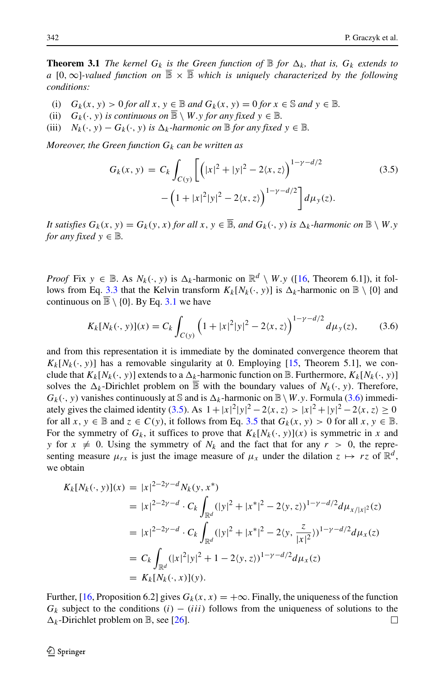**Theorem 3.1** *The kernel*  $G_k$  *is the Green function of*  $\mathbb{B}$  *for*  $\Delta_k$ *, that is,*  $G_k$  *extends to a* [0,∞]-valued function on  $\mathbb{B} \times \mathbb{B}$  which is uniquely characterized by the following *conditions:*

- (i)  $G_k(x, y) > 0$  *for all*  $x, y \in \mathbb{B}$  *and*  $G_k(x, y) = 0$  *for*  $x \in \mathbb{S}$  *and*  $y \in \mathbb{B}$ *.*
- (ii)  $G_k(\cdot, y)$  *is continuous on*  $\overline{\mathbb{B}} \setminus W.$ *y for any fixed*  $y \in \mathbb{B}$ .<br>(iii)  $N_k(\cdot, y) G_k(\cdot, y)$  *is*  $\Delta_k$ -harmonic on  $\mathbb{B}$  for any fixed
- (iii)  $N_k(\cdot, y) G_k(\cdot, y)$  *is*  $\Delta_k$ *-harmonic on*  $\mathbb{B}$  *for any fixed*  $y \in \mathbb{B}$ *.*

*Moreover, the Green function*  $G_k$  *can be written as* 

<span id="page-5-0"></span>
$$
G_k(x, y) = C_k \int_{C(y)} \left[ \left( |x|^2 + |y|^2 - 2\langle x, z \rangle \right)^{1 - \gamma - d/2} - \left( 1 + |x|^2 |y|^2 - 2\langle x, z \rangle \right)^{1 - \gamma - d/2} \right] d\mu_y(z).
$$
 (3.5)

*It satisfies*  $G_k(x, y) = G_k(y, x)$  *for all*  $x, y \in \overline{\mathbb{B}}$ *, and*  $G_k(\cdot, y)$  *is*  $\Delta_k$ *-harmonic on*  $\mathbb{B} \setminus W$ *y for any fixed*  $y \in \mathbb{B}$ *.* 

*Proof* Fix  $y \in \mathbb{B}$ . As  $N_k(\cdot, y)$  is  $\Delta_k$ -harmonic on  $\mathbb{R}^d \setminus W$ . *y* ([\[16,](#page-22-4) Theorem 6.1]), it fol-lows from Eq. [3.3](#page-4-2) that the Kelvin transform  $K_k[N_k(\cdot, y)]$  is  $\Delta_k$ -harmonic on  $\mathbb{B} \setminus \{0\}$  and continuous on  $\overline{\mathbb{B}} \setminus \{0\}$ . By Eq. [3.1](#page-4-1) we have

<span id="page-5-1"></span>
$$
K_k[N_k(\cdot, y)](x) = C_k \int_{C(y)} \left(1 + |x|^2 |y|^2 - 2\langle x, z \rangle\right)^{1 - \gamma - d/2} d\mu_y(z),\tag{3.6}
$$

and from this representation it is immediate by the dominated convergence theorem that  $K_k[N_k(\cdot, y)]$  has a removable singularity at 0. Employing [\[15,](#page-22-3) Theorem 5.1], we conclude that  $K_k[N_k(\cdot, y)]$  extends to a  $\Delta_k$ -harmonic function on  $\mathbb{B}$ . Furthermore,  $K_k[N_k(\cdot, y)]$ solves the  $\Delta_k$ -Dirichlet problem on  $\overline{B}$  with the boundary values of  $N_k(\cdot, y)$ . Therefore,  $G_k(\cdot, y)$  vanishes continuously at S and is  $\Delta_k$ -harmonic on  $\mathbb{B}\setminus W.$ *y*. Formula [\(3.6\)](#page-5-1) immedi-ately gives the claimed identity [\(3.5\)](#page-5-0). As  $1 + |x|^2 |y|^2 - 2\langle x, z \rangle > |x|^2 + |y|^2 - 2\langle x, z \rangle \ge 0$ for all  $x, y \in \mathbb{B}$  and  $z \in C(y)$ , it follows from Eq. [3.5](#page-5-0) that  $G_k(x, y) > 0$  for all  $x, y \in \mathbb{B}$ . For the symmetry of  $G_k$ , it suffices to prove that  $K_k[N_k(\cdot, y)](x)$  is symmetric in *x* and *y* for  $x \neq 0$ . Using the symmetry of  $N_k$  and the fact that for any  $r > 0$ , the representing measure  $\mu_{rx}$  is just the image measure of  $\mu_x$  under the dilation  $z \mapsto rz$  of  $\mathbb{R}^d$ , we obtain

$$
K_k[N_k(\cdot, y)](x) = |x|^{2-2\gamma-d} N_k(y, x^*)
$$
  
\n
$$
= |x|^{2-2\gamma-d} \cdot C_k \int_{\mathbb{R}^d} (|y|^2 + |x^*|^2 - 2\langle y, z \rangle)^{1-\gamma-d/2} d\mu_{x/|x|^2}(z)
$$
  
\n
$$
= |x|^{2-2\gamma-d} \cdot C_k \int_{\mathbb{R}^d} (|y|^2 + |x^*|^2 - 2\langle y, \frac{z}{|x|^2} \rangle)^{1-\gamma-d/2} d\mu_x(z)
$$
  
\n
$$
= C_k \int_{\mathbb{R}^d} (|x|^2 |y|^2 + 1 - 2\langle y, z \rangle)^{1-\gamma-d/2} d\mu_x(z)
$$
  
\n
$$
= K_k[N_k(\cdot, x)](y).
$$

Further, [\[16,](#page-22-4) Proposition 6.2] gives  $G_k(x, x) = +\infty$ . Finally, the uniqueness of the function *G<sub>k</sub>* subject to the conditions *(i)* − *(iii)* follows from the uniqueness of solutions to the  $\Delta_k$ -Dirichlet problem on  $\mathbb{B}$ , see [26].  $\Delta_k$ -Dirichlet problem on  $\mathbb{B}$ , see [\[26\]](#page-23-1).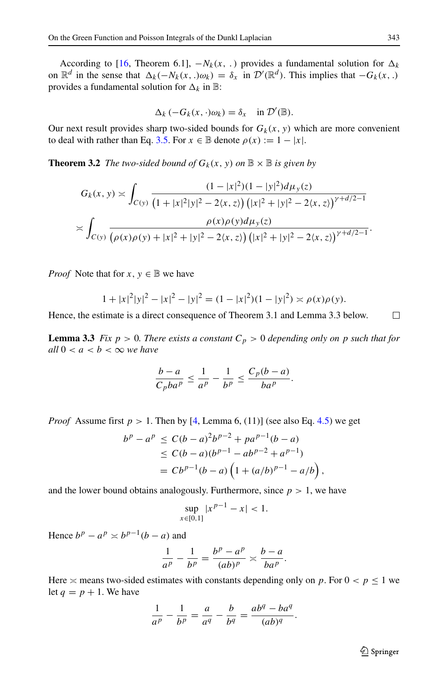According to [\[16,](#page-22-4) Theorem 6.1],  $-N_k(x, \cdot)$  provides a fundamental solution for  $\Delta_k$ on  $\mathbb{R}^d$  in the sense that  $\Delta_k(-N_k(x,.)\omega_k) = \delta_x$  in  $\mathcal{D}'(\mathbb{R}^d)$ . This implies that  $-G_k(x,.)$ provides a fundamental solution for  $\Delta_k$  in  $\mathbb{B}$ :

$$
\Delta_k(-G_k(x,\cdot)\omega_k)=\delta_x \quad \text{in }\mathcal{D}'(\mathbb{B}).
$$

Our next result provides sharp two-sided bounds for  $G_k(x, y)$  which are more convenient to deal with rather than Eq. [3.5.](#page-5-0) For  $x \in \mathbb{B}$  denote  $\rho(x) := 1 - |x|$ .

**Theorem 3.2** *The two-sided bound of*  $G_k(x, y)$  *on*  $\mathbb{B} \times \mathbb{B}$  *is given by* 

$$
G_k(x, y) \approx \int_{C(y)} \frac{(1-|x|^2)(1-|y|^2)d\mu_y(z)}{(1+|x|^2|y|^2-2\langle x, z\rangle)\left(|x|^2+|y|^2-2\langle x, z\rangle\right)^{\gamma+d/2-1}} \times \int_{C(y)} \frac{\rho(x)\rho(y)d\mu_y(z)}{(\rho(x)\rho(y)+|x|^2+|y|^2-2\langle x, z\rangle)\left(|x|^2+|y|^2-2\langle x, z\rangle\right)^{\gamma+d/2-1}}.
$$

*Proof* Note that for *x*,  $y \in \mathbb{B}$  we have

$$
1 + |x|^2|y|^2 - |x|^2 - |y|^2 = (1 - |x|^2)(1 - |y|^2) \approx \rho(x)\rho(y).
$$

Hence, the estimate is a direct consequence of Theorem 3.1 and Lemma 3.3 below.

**Lemma 3.3** *Fix*  $p > 0$ *. There exists a constant*  $C_p > 0$  *depending only on*  $p$  *such that for*  $all \ 0 < a < b < \infty$  we have

$$
\frac{b-a}{C_pba^p} \le \frac{1}{a^p} - \frac{1}{b^p} \le \frac{C_p(b-a)}{ba^p}.
$$

*Proof* Assume first  $p > 1$ . Then by [\[4,](#page-22-14) Lemma 6, (11)] (see also Eq. [4.5\)](#page-10-0) we get

$$
b^{p} - a^{p} \le C(b-a)^{2}b^{p-2} + pa^{p-1}(b-a)
$$
  
\n
$$
\le C(b-a)(b^{p-1} - ab^{p-2} + a^{p-1})
$$
  
\n
$$
= Cb^{p-1}(b-a)\left(1 + (a/b)^{p-1} - a/b\right),
$$

and the lower bound obtains analogously. Furthermore, since  $p > 1$ , we have

$$
\sup_{x \in [0,1]} |x^{p-1} - x| < 1.
$$

Hence  $b^p - a^p \geq b^{p-1}(b - a)$  and

$$
\frac{1}{a^p} - \frac{1}{b^p} = \frac{b^p - a^p}{(ab)^p} \asymp \frac{b - a}{ba^p}.
$$

Here  $\le$  means two-sided estimates with constants depending only on *p*. For  $0 < p \le 1$  we let  $q = p + 1$ . We have

$$
\frac{1}{a^p} - \frac{1}{b^p} = \frac{a}{a^q} - \frac{b}{b^q} = \frac{ab^q - ba^q}{(ab)^q}.
$$

 $\mathcal{D}$  Springer

 $\Box$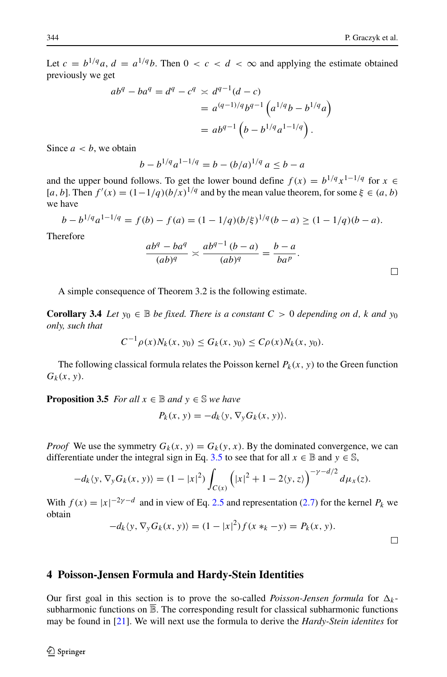Let  $c = b^{1/q}a$ ,  $d = a^{1/q}b$ . Then  $0 < c < d < \infty$  and applying the estimate obtained previously we get

$$
abq - baq = dq - cq \times dq-1(d - c)
$$
  
=  $a(q-1)/qbq-1 (a1/qb - b1/qa)$   
=  $abq-1 (b - b1/qa1-1/q).$ 

Since  $a < b$ , we obtain

$$
b - b^{1/q} a^{1-1/q} = b - (b/a)^{1/q} a \le b - a
$$

and the upper bound follows. To get the lower bound define  $f(x) = b^{1/q} x^{1-1/q}$  for  $x \in$  $[a, b]$ . Then  $f'(x) = (1 - 1/q)(b/x)^{1/q}$  and by the mean value theorem, for some  $\xi \in (a, b)$ we have

$$
b - b^{1/q} a^{1-1/q} = f(b) - f(a) = (1 - 1/q)(b/\xi)^{1/q} (b - a) \ge (1 - 1/q)(b - a).
$$

Therefore

$$
\frac{ab^q - ba^q}{(ab)^q} \asymp \frac{ab^{q-1} (b-a)}{(ab)^q} = \frac{b-a}{ba^p}.
$$

A simple consequence of Theorem 3.2 is the following estimate.

**Corollary 3.4** *Let*  $y_0 \in \mathbb{B}$  *be fixed. There is a constant*  $C > 0$  *depending on d, k and*  $y_0$ *only, such that*

$$
C^{-1}\rho(x)N_k(x, y_0) \le G_k(x, y_0) \le C\rho(x)N_k(x, y_0).
$$

The following classical formula relates the Poisson kernel  $P_k(x, y)$  to the Green function *Gk(x, y)*.

**Proposition 3.5** *For all*  $x \in \mathbb{B}$  *and*  $y \in \mathbb{S}$  *we have* 

$$
P_k(x, y) = -d_k \langle y, \nabla_y G_k(x, y) \rangle.
$$

*Proof* We use the symmetry  $G_k(x, y) = G_k(y, x)$ . By the dominated convergence, we can differentiate under the integral sign in Eq. [3.5](#page-5-0) to see that for all  $x \in \mathbb{B}$  and  $y \in \mathbb{S}$ ,

$$
-d_k\langle y, \nabla_y G_k(x, y)\rangle = (1-|x|^2) \int_{C(x)} \left( |x|^2 + 1 - 2\langle y, z \rangle \right)^{-\gamma - d/2} d\mu_x(z).
$$

With  $f(x) = |x|^{-2\gamma - d}$  and in view of Eq. [2.5](#page-3-1) and representation [\(2.7\)](#page-3-2) for the kernel  $P_k$  we obtain

$$
-d_k\langle y, \nabla_y G_k(x, y)\rangle = (1-|x|^2)f(x \ast_k - y) = P_k(x, y).
$$

### <span id="page-7-0"></span>**4 Poisson-Jensen Formula and Hardy-Stein Identities**

Our first goal in this section is to prove the so-called *Poisson-Jensen formula* for  $\Delta_k$ subharmonic functions on  $\overline{\mathbb{B}}$ . The corresponding result for classical subharmonic functions may be found in [\[21\]](#page-22-20). We will next use the formula to derive the *Hardy-Stein identites* for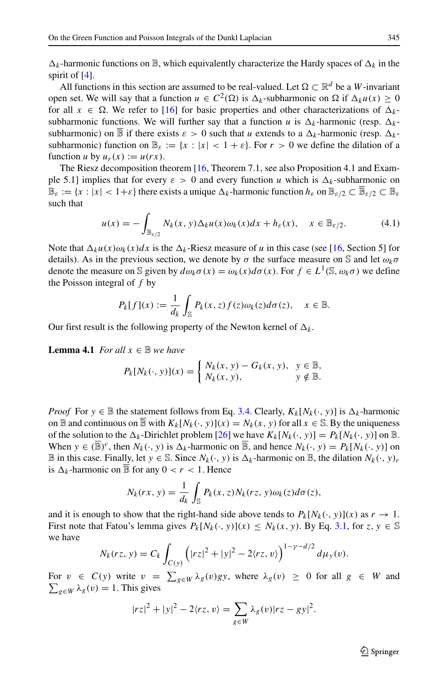$\Delta_k$ -harmonic functions on  $\mathbb B$ , which equivalently characterize the Hardy spaces of  $\Delta_k$  in the spirit of [\[4\]](#page-22-14).

All functions in this section are assumed to be real-valued. Let  $\Omega \subset \mathbb{R}^d$  be a W-invariant open set. We will say that a function  $u \in C^2(\Omega)$  is  $\Delta_k$ -subharmonic on  $\Omega$  if  $\Delta_k u(x) \ge 0$ for all  $x \in \Omega$ . We refer to [\[16\]](#page-22-4) for basic properties and other characterizations of  $\Delta_k$ subharmonic functions. We will further say that a function *u* is  $\Delta_k$ -harmonic (resp.  $\Delta_k$ subharmonic) on  $\overline{B}$  if there exists  $\varepsilon > 0$  such that *u* extends to a  $\Delta_k$ -harmonic (resp.  $\Delta_k$ subharmonic) function on  $\mathbb{B}_{\varepsilon} := \{x : |x| < 1 + \varepsilon\}$ . For  $r > 0$  we define the dilation of a function *u* by  $u_r(x) := u(rx)$ .

The Riesz decomposition theorem [\[16,](#page-22-4) Theorem 7.1, see also Proposition 4.1 and Example 5.1] implies that for every  $\varepsilon > 0$  and every function *u* which is  $\Delta_k$ -subharmonic on  $\mathbb{B}_{\varepsilon} := \{x : |x| < 1 + \varepsilon\}$  there exists a unique  $\Delta_k$ -harmonic function  $h_{\varepsilon}$  on  $\mathbb{B}_{\varepsilon/2} \subset \mathbb{B}_{\varepsilon/2} \subset \mathbb{B}_{\varepsilon}$ such that

<span id="page-8-0"></span>
$$
u(x) = -\int_{\mathbb{B}_{\varepsilon/2}} N_k(x, y) \Delta_k u(x) \omega_k(x) dx + h_{\varepsilon}(x), \quad x \in \mathbb{B}_{\varepsilon/2}.
$$
 (4.1)

Note that  $\Delta_k u(x) \omega_k(x) dx$  is the  $\Delta_k$ -Riesz measure of *u* in this case (see [\[16,](#page-22-4) Section 5] for details). As in the previous section, we denote by  $\sigma$  the surface measure on S and let  $\omega_k \sigma$ denote the measure on S given by  $d\omega_k \sigma(x) = \omega_k(x) d\sigma(x)$ . For  $f \in L^1(\mathbb{S}, \omega_k \sigma)$  we define the Poisson integral of *f* by

$$
P_k[f](x) := \frac{1}{d_k} \int_{\mathbb{S}} P_k(x, z) f(z) \omega_k(z) d\sigma(z), \quad x \in \mathbb{B}.
$$

Our first result is the following property of the Newton kernel of  $\Delta_k$ .

**Lemma 4.1** *For all*  $x \in \mathbb{B}$  *we have* 

$$
P_k[N_k(\cdot, y)](x) = \begin{cases} N_k(x, y) - G_k(x, y), & y \in \mathbb{B}, \\ N_k(x, y), & y \notin \mathbb{B}. \end{cases}
$$

*Proof* For  $y \in \mathbb{B}$  the statement follows from Eq. [3.4.](#page-4-3) Clearly,  $K_k[N_k(\cdot, y)]$  is  $\Delta_k$ -harmonic on  $\mathbb B$  and continuous on  $\overline{\mathbb B}$  with  $K_k[N_k(\cdot, y)](x) = N_k(x, y)$  for all  $x \in \mathbb S$ . By the uniqueness of the solution to the  $\Delta_k$ -Dirichlet problem [\[26\]](#page-23-1) we have  $K_k[N_k(\cdot, y)] = P_k[N_k(\cdot, y)]$  on B. When  $y \in (\overline{\mathbb{B}})^c$ , then  $N_k(\cdot, y)$  is  $\Delta_k$ -harmonic on  $\overline{\mathbb{B}}$ , and hence  $N_k(\cdot, y) = P_k[N_k(\cdot, y)]$  on  $\mathbb{B}$  in this case. Finally, let *y* ∈ S. Since *N<sub>k</sub>*(*·, y*) is  $\Delta_k$ -harmonic on  $\mathbb{B}$ , the dilation *N<sub>k</sub>*(*·, y*)*r* is  $\Delta_k$ -harmonic on  $\overline{\mathbb{B}}$  for any  $0 < r < 1$ . Hence

$$
N_k(rx, y) = \frac{1}{d_k} \int_{\mathbb{S}} P_k(x, z) N_k(rz, y) \omega_k(z) d\sigma(z),
$$

and it is enough to show that the right-hand side above tends to  $P_k[N_k(\cdot, y)](x)$  as  $r \to 1$ . First note that Fatou's lemma gives  $P_k[N_k(\cdot, y)](x) \leq N_k(x, y)$ . By Eq. [3.1,](#page-4-1) for  $z, y \in \mathbb{S}$ we have

$$
N_k(rz, y) = C_k \int_{C(y)} \left( |rz|^2 + |y|^2 - 2\langle rz, v \rangle \right)^{1 - \gamma - d/2} d\mu_y(v).
$$

For  $v \in C(y)$  write  $v = \sum_{g \in W} \lambda_g(v) gy$ , where  $\lambda_g(v) \ge 0$  for all  $g \in W$  and  $\sum_{g \in W} \lambda_g(v) = 1$ . This gives

$$
|rz|^2 + |y|^2 - 2\langle rz, v \rangle = \sum_{g \in W} \lambda_g(v) |rz - gy|^2.
$$

 $\textcircled{2}$  Springer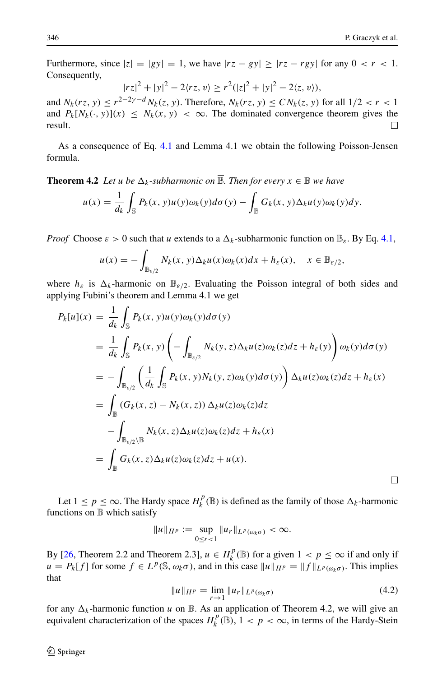Furthermore, since  $|z| = |gy| = 1$ , we have  $|rz - gy| \ge |rz - ry|$  for any  $0 < r < 1$ . Consequently,

$$
|rz|^2 + |y|^2 - 2\langle rz, v \rangle \ge r^2(|z|^2 + |y|^2 - 2\langle z, v \rangle),
$$

and  $N_k(rz, y) \le r^{2-2\gamma - d} N_k(z, y)$ . Therefore,  $N_k(rz, y) \le CN_k(z, y)$  for all  $1/2 < r < 1$ and  $P_k[N_k(\cdot, y)](x) \leq N_k(x, y) < \infty$ . The dominated convergence theorem gives the result. result.

As a consequence of Eq. [4.1](#page-8-0) and Lemma 4.1 we obtain the following Poisson-Jensen formula.

**Theorem 4.2** *Let u be*  $\Delta_k$ -subharmonic on  $\overline{\mathbb{B}}$ *. Then for every*  $x \in \mathbb{B}$  *we have* 

$$
u(x) = \frac{1}{d_k} \int_{\mathbb{S}} P_k(x, y) u(y) \omega_k(y) d\sigma(y) - \int_{\mathbb{B}} G_k(x, y) \Delta_k u(y) \omega_k(y) dy.
$$

*Proof* Choose  $\varepsilon > 0$  such that *u* extends to a  $\Delta_k$ -subharmonic function on  $\mathbb{B}_{\varepsilon}$ . By Eq. [4.1,](#page-8-0)

$$
u(x) = -\int_{\mathbb{B}_{\varepsilon/2}} N_k(x, y) \Delta_k u(x) \omega_k(x) dx + h_{\varepsilon}(x), \quad x \in \mathbb{B}_{\varepsilon/2},
$$

where  $h_{\varepsilon}$  is  $\Delta_k$ -harmonic on  $\mathbb{B}_{\varepsilon/2}$ . Evaluating the Poisson integral of both sides and applying Fubini's theorem and Lemma 4.1 we get

$$
P_k[u](x) = \frac{1}{d_k} \int_{\mathbb{S}} P_k(x, y)u(y)\omega_k(y)d\sigma(y)
$$
  
\n
$$
= \frac{1}{d_k} \int_{\mathbb{S}} P_k(x, y) \left( -\int_{\mathbb{B}_{\varepsilon/2}} N_k(y, z) \Delta_k u(z)\omega_k(z)dz + h_{\varepsilon}(y) \right) \omega_k(y)d\sigma(y)
$$
  
\n
$$
= -\int_{\mathbb{B}_{\varepsilon/2}} \left( \frac{1}{d_k} \int_{\mathbb{S}} P_k(x, y)N_k(y, z)\omega_k(y)d\sigma(y) \right) \Delta_k u(z)\omega_k(z)dz + h_{\varepsilon}(x)
$$
  
\n
$$
= \int_{\mathbb{B}} (G_k(x, z) - N_k(x, z)) \Delta_k u(z)\omega_k(z)dz
$$
  
\n
$$
- \int_{\mathbb{B}_{\varepsilon/2} \setminus \mathbb{B}} N_k(x, z) \Delta_k u(z)\omega_k(z)dz + h_{\varepsilon}(x)
$$
  
\n
$$
= \int_{\mathbb{B}} G_k(x, z) \Delta_k u(z)\omega_k(z)dz + u(x).
$$

Let  $1 \leq p \leq \infty$ . The Hardy space  $H_k^p(\mathbb{B})$  is defined as the family of those  $\Delta_k$ -harmonic functions on B which satisfy

$$
||u||_{H^p} := \sup_{0 \le r < 1} ||u_r||_{L^p(\omega_k \sigma)} < \infty.
$$

By [\[26,](#page-23-1) Theorem 2.2 and Theorem 2.3],  $u \in H_k^p(\mathbb{B})$  for a given  $1 < p \le \infty$  if and only if  $u = P_k[f]$  for some  $f \in L^p(\mathbb{S}, \omega_k \sigma)$ , and in this case  $||u||_{H^p} = ||f||_{L^p(\omega_k \sigma)}$ . This implies that

<span id="page-9-0"></span>
$$
||u||_{H^p} = \lim_{r \to 1} ||u_r||_{L^p(\omega_k \sigma)}
$$
(4.2)

for any  $\Delta_k$ -harmonic function *u* on  $\mathbb B$ . As an application of Theorem 4.2, we will give an equivalent characterization of the spaces  $H_k^p(\mathbb{B})$ ,  $1 < p < \infty$ , in terms of the Hardy-Stein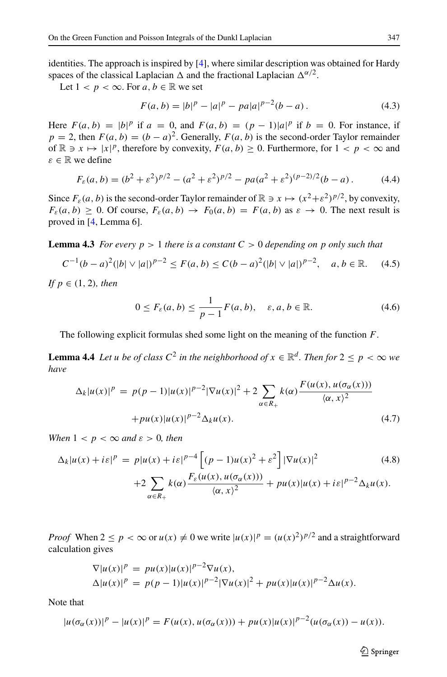identities. The approach is inspired by [\[4\]](#page-22-14), where similar description was obtained for Hardy spaces of the classical Laplacian  $\triangle$  and the fractional Laplacian  $\triangle^{\alpha/2}$ .

Let  $1 < p < \infty$ . For  $a, b \in \mathbb{R}$  we set

$$
F(a,b) = |b|^p - |a|^p - pa|a|^{p-2}(b-a).
$$
 (4.3)

Here  $F(a, b) = |b|^p$  if  $a = 0$ , and  $F(a, b) = (p - 1)|a|^p$  if  $b = 0$ . For instance, if  $p = 2$ , then  $F(a, b) = (b - a)^2$ . Generally,  $F(a, b)$  is the second-order Taylor remainder of  $\mathbb{R} \ni x \mapsto |x|^p$ , therefore by convexity,  $F(a, b) \ge 0$ . Furthermore, for  $1 < p < \infty$  and *<sup>ε</sup>* <sup>∈</sup> <sup>R</sup> we define

$$
F_{\varepsilon}(a,b) = (b^2 + \varepsilon^2)^{p/2} - (a^2 + \varepsilon^2)^{p/2} - pa(a^2 + \varepsilon^2)^{(p-2)/2}(b-a). \tag{4.4}
$$

Since  $F_{\varepsilon}(a, b)$  is the second-order Taylor remainder of  $\mathbb{R} \ni x \mapsto (x^2 + \varepsilon^2)^{p/2}$ , by convexity,  $F_{\varepsilon}(a, b) \ge 0$ . Of course,  $F_{\varepsilon}(a, b) \to F_0(a, b) = F(a, b)$  as  $\varepsilon \to 0$ . The next result is proved in [\[4,](#page-22-14) Lemma 6].

**Lemma 4.3** *For every*  $p > 1$  *there is a constant*  $C > 0$  *depending on*  $p$  *only such that* 

<span id="page-10-0"></span>
$$
C^{-1}(b-a)^{2}(|b| \vee |a|)^{p-2} \le F(a,b) \le C(b-a)^{2}(|b| \vee |a|)^{p-2}, \quad a, b \in \mathbb{R}.\tag{4.5}
$$

 $If p \in (1, 2)$ *, then* 

<span id="page-10-3"></span>
$$
0 \le F_{\varepsilon}(a, b) \le \frac{1}{p-1} F(a, b), \quad \varepsilon, a, b \in \mathbb{R}.
$$
 (4.6)

The following explicit formulas shed some light on the meaning of the function *F*.

**Lemma 4.4** *Let u be of class*  $C^2$  *in the neighborhood of*  $x \in \mathbb{R}^d$ . *Then for*  $2 \leq p \leq \infty$  *we have*

<span id="page-10-1"></span>
$$
\Delta_k |u(x)|^p = p(p-1)|u(x)|^{p-2} |\nabla u(x)|^2 + 2 \sum_{\alpha \in R_+} k(\alpha) \frac{F(u(x), u(\sigma_\alpha(x)))}{\langle \alpha, x \rangle^2} + pu(x)|u(x)|^{p-2} \Delta_k u(x).
$$
\n(4.7)

*When*  $1 < p < \infty$  *and*  $\varepsilon > 0$ *, then* 

<span id="page-10-2"></span>
$$
\Delta_k |u(x) + i\varepsilon|^p = p|u(x) + i\varepsilon|^{p-4} \left[ (p-1)u(x)^2 + \varepsilon^2 \right] |\nabla u(x)|^2
$$
\n
$$
+ 2 \sum_{\alpha \in R_+} k(\alpha) \frac{F_\varepsilon(u(x), u(\sigma_\alpha(x)))}{\langle \alpha, x \rangle^2} + pu(x) |u(x) + i\varepsilon|^{p-2} \Delta_k u(x).
$$
\n(4.8)

*Proof* When  $2 \le p < \infty$  or  $u(x) \ne 0$  we write  $|u(x)|^p = (u(x)^2)^{p/2}$  and a straightforward calculation gives

$$
\nabla |u(x)|^p = pu(x)|u(x)|^{p-2}\nabla u(x),
$$
  
\n
$$
\Delta |u(x)|^p = p(p-1)|u(x)|^{p-2}|\nabla u(x)|^2 + pu(x)|u(x)|^{p-2}\Delta u(x).
$$

Note that

$$
|u(\sigma_{\alpha}(x))|^{p} - |u(x)|^{p} = F(u(x), u(\sigma_{\alpha}(x))) + pu(x)|u(x)|^{p-2}(u(\sigma_{\alpha}(x)) - u(x)).
$$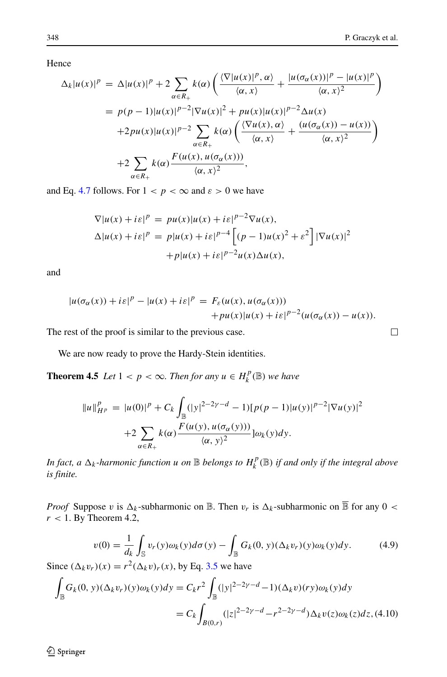$\Box$ 

Hence

$$
\Delta_k |u(x)|^p = \Delta |u(x)|^p + 2 \sum_{\alpha \in R_+} k(\alpha) \left( \frac{\langle \nabla |u(x)|^p, \alpha \rangle}{\langle \alpha, x \rangle} + \frac{|u(\sigma_\alpha(x))|^p - |u(x)|^p}{\langle \alpha, x \rangle^2} \right)
$$
  
\n
$$
= p(p-1)|u(x)|^{p-2} |\nabla u(x)|^2 + pu(x)|u(x)|^{p-2} \Delta u(x)
$$
  
\n
$$
+ 2pu(x)|u(x)|^{p-2} \sum_{\alpha \in R_+} k(\alpha) \left( \frac{\langle \nabla u(x), \alpha \rangle}{\langle \alpha, x \rangle} + \frac{(u(\sigma_\alpha(x)) - u(x))}{\langle \alpha, x \rangle^2} \right)
$$
  
\n
$$
+ 2 \sum_{\alpha \in R_+} k(\alpha) \frac{F(u(x), u(\sigma_\alpha(x)))}{\langle \alpha, x \rangle^2},
$$

and Eq. [4.7](#page-10-1) follows. For  $1 < p < \infty$  and  $\varepsilon > 0$  we have

$$
\nabla |u(x) + i\varepsilon|^p = pu(x)|u(x) + i\varepsilon|^{p-2}\nabla u(x),
$$
  
\n
$$
\Delta |u(x) + i\varepsilon|^p = p|u(x) + i\varepsilon|^{p-4} \left[ (p-1)u(x)^2 + \varepsilon^2 \right] |\nabla u(x)|^2
$$
  
\n
$$
+ p|u(x) + i\varepsilon|^{p-2}u(x)\Delta u(x),
$$

and

$$
|u(\sigma_{\alpha}(x)) + i\varepsilon|^p - |u(x) + i\varepsilon|^p = F_{\varepsilon}(u(x), u(\sigma_{\alpha}(x)))
$$
  
+ 
$$
p u(x)|u(x) + i\varepsilon|^{p-2}(u(\sigma_{\alpha}(x)) - u(x)).
$$

The rest of the proof is similar to the previous case.

We are now ready to prove the Hardy-Stein identities.

**Theorem 4.5** *Let*  $1 < p < \infty$ *. Then for any*  $u \in H_k^p(\mathbb{B})$  *we have* 

$$
||u||_{H^{p}}^{p} = |u(0)|^{p} + C_{k} \int_{\mathbb{B}} (|y|^{2-2\gamma-d} - 1)[p(p-1)|u(y)|^{p-2}|\nabla u(y)|^{2}
$$
  
+2
$$
\sum_{\alpha \in R_{+}} k(\alpha) \frac{F(u(y), u(\sigma_{\alpha}(y)))}{\langle \alpha, y \rangle^{2}}] \omega_{k}(y) dy.
$$

*In fact, a*  $\Delta_k$ *-harmonic function u on*  $\mathbb B$  *belongs to*  $H_k^p(\mathbb B)$  *if and only if the integral above is finite.*

*Proof* Suppose *v* is  $\Delta_k$ -subharmonic on  $\mathbb B$ . Then  $v_r$  is  $\Delta_k$ -subharmonic on  $\overline{\mathbb B}$  for any 0 < *r <* 1. By Theorem 4.2,

<span id="page-11-0"></span>
$$
v(0) = \frac{1}{d_k} \int_{\mathbb{S}} v_r(y) \omega_k(y) d\sigma(y) - \int_{\mathbb{B}} G_k(0, y) (\Delta_k v_r)(y) \omega_k(y) dy.
$$
 (4.9)

Since  $(\Delta_k v_r)(x) = r^2(\Delta_k v)_r(x)$ , by Eq. [3.5](#page-5-0) we have

<span id="page-11-1"></span>
$$
\int_{\mathbb{B}} G_k(0, y)(\Delta_k v_r)(y)\omega_k(y)dy = C_k r^2 \int_{\mathbb{B}} (|y|^{2-2\gamma-d}-1)(\Delta_k v)(ry)\omega_k(y)dy
$$
  
=  $C_k \int_{B(0,r)} (|z|^{2-2\gamma-d}-r^{2-2\gamma-d})\Delta_k v(z)\omega_k(z)dz$ , (4.10)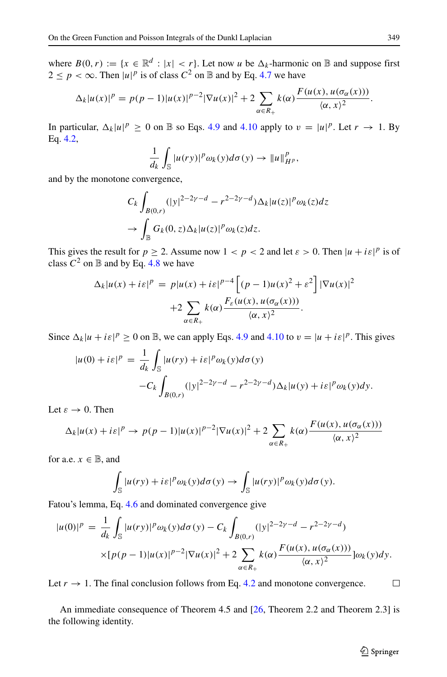where  $B(0, r) := \{x \in \mathbb{R}^d : |x| < r\}$ . Let now *u* be  $\Delta_k$ -harmonic on  $\mathbb B$  and suppose first  $2 \le p < \infty$ . Then  $|u|^p$  is of class  $C^2$  on  $\mathbb B$  and by Eq. [4.7](#page-10-1) we have

$$
\Delta_k |u(x)|^p = p(p-1)|u(x)|^{p-2} |\nabla u(x)|^2 + 2 \sum_{\alpha \in R_+} k(\alpha) \frac{F(u(x), u(\sigma_\alpha(x)))}{\langle \alpha, x \rangle^2}.
$$

In particular,  $\Delta_k |u|^p \ge 0$  on  $\mathbb B$  so Eqs. [4.9](#page-11-0) and [4.10](#page-11-1) apply to  $v = |u|^p$ . Let  $r \to 1$ . By Eq. [4.2,](#page-9-0)

$$
\frac{1}{d_k}\int_{\mathbb{S}}|u(ry)|^p\omega_k(y)d\sigma(y)\to\|u\|_{H^p}^p,
$$

and by the monotone convergence,

$$
C_k \int_{B(0,r)} (|y|^{2-2\gamma-d} - r^{2-2\gamma-d}) \Delta_k |u(z)|^p \omega_k(z) dz
$$
  
\n
$$
\rightarrow \int_{\mathbb{B}} G_k(0, z) \Delta_k |u(z)|^p \omega_k(z) dz.
$$

This gives the result for  $p \ge 2$ . Assume now  $1 < p < 2$  and let  $\varepsilon > 0$ . Then  $|u + i\varepsilon|^p$  is of class  $C^2$  on  $\mathbb B$  and by Eq. [4.8](#page-10-2) we have

$$
\Delta_k |u(x) + i\varepsilon|^p = p |u(x) + i\varepsilon|^{p-4} \left[ (p-1)u(x)^2 + \varepsilon^2 \right] |\nabla u(x)|^2
$$

$$
+ 2 \sum_{\alpha \in R_+} k(\alpha) \frac{F_{\varepsilon}(u(x), u(\sigma_\alpha(x)))}{\langle \alpha, x \rangle^2}.
$$

Since  $\Delta_k |u + i\varepsilon|^p \ge 0$  on  $\mathbb{B}$ , we can apply Eqs. [4.9](#page-11-0) and [4.10](#page-11-1) to  $v = |u + i\varepsilon|^p$ . This gives

$$
|u(0) + i\varepsilon|^p = \frac{1}{d_k} \int_{\mathbb{S}} |u(ry) + i\varepsilon|^p \omega_k(y) d\sigma(y)
$$

$$
-C_k \int_{B(0,r)} (|y|^{2-2\gamma-d} - r^{2-2\gamma-d}) \Delta_k |u(y) + i\varepsilon|^p \omega_k(y) dy.
$$

Let  $\varepsilon \to 0$ . Then

$$
\Delta_k|u(x)+i\varepsilon|^p \to p(p-1)|u(x)|^{p-2}|\nabla u(x)|^2 + 2\sum_{\alpha \in R_+} k(\alpha) \frac{F(u(x), u(\sigma_\alpha(x)))}{\langle \alpha, x \rangle^2}
$$

for a.e.  $x \in \mathbb{B}$ , and

$$
\int_{\mathbb{S}} |u(ry) + i\varepsilon|^p \omega_k(y) d\sigma(y) \to \int_{\mathbb{S}} |u(ry)|^p \omega_k(y) d\sigma(y).
$$

Fatou's lemma, Eq. [4.6](#page-10-3) and dominated convergence give

$$
|u(0)|^{p} = \frac{1}{d_{k}} \int_{\mathbb{S}} |u(ry)|^{p} \omega_{k}(y) d\sigma(y) - C_{k} \int_{B(0,r)} (|y|^{2-2\gamma-d} - r^{2-2\gamma-d})
$$
  
 
$$
\times [p(p-1)|u(x)|^{p-2} |\nabla u(x)|^{2} + 2 \sum_{\alpha \in R_{+}} k(\alpha) \frac{F(u(x), u(\sigma_{\alpha}(x)))}{\langle \alpha, x \rangle^{2}} ]\omega_{k}(y) dy.
$$

Let  $r \to 1$ . The final conclusion follows from Eq. [4.2](#page-9-0) and monotone convergence.

An immediate consequence of Theorem 4.5 and [\[26,](#page-23-1) Theorem 2.2 and Theorem 2.3] is the following identity.

 $\Box$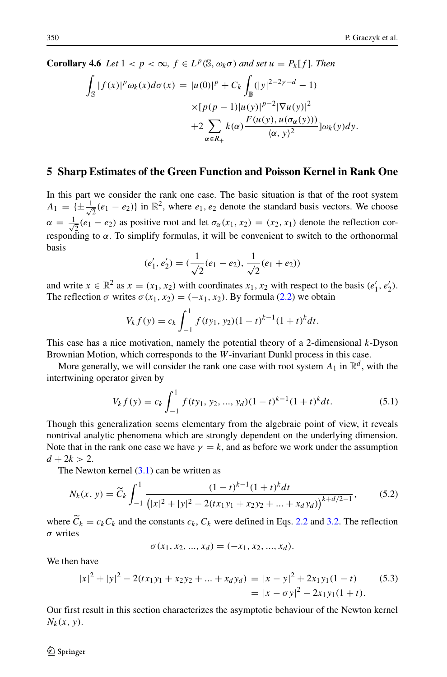**Corollary 4.6** *Let*  $1 < p < \infty$ *,*  $f \in L^p(\mathbb{S}, \omega_k \sigma)$  *and set*  $u = P_k[f]$ *. Then* 

$$
\int_{\mathbb{S}} |f(x)|^p \omega_k(x) d\sigma(x) = |u(0)|^p + C_k \int_{\mathbb{B}} (|y|^{2-2\gamma-d} - 1) \times [p(p-1)|u(y)|^{p-2} |\nabla u(y)|^2 + 2 \sum_{\alpha \in R_+} k(\alpha) \frac{F(u(y), u(\sigma_\alpha(y)))}{\langle \alpha, y \rangle^2}] \omega_k(y) dy.
$$

#### <span id="page-13-0"></span>**5 Sharp Estimates of the Green Function and Poisson Kernel in Rank One**

In this part we consider the rank one case. The basic situation is that of the root system  $A_1 = \{\pm \frac{1}{\sqrt{2}}\}$  $\overline{z}(e_1 - e_2)$ } in  $\mathbb{R}^2$ , where  $e_1, e_2$  denote the standard basis vectors. We choose  $\alpha = \frac{1}{\sqrt{2}}$  $\frac{1}{2}(e_1 - e_2)$  as positive root and let  $\sigma_\alpha(x_1, x_2) = (x_2, x_1)$  denote the reflection corresponding to *α*. To simplify formulas, it will be convenient to switch to the orthonormal basis

$$
(e'_1, e'_2) = (\frac{1}{\sqrt{2}}(e_1 - e_2), \frac{1}{\sqrt{2}}(e_1 + e_2))
$$

and write  $x \in \mathbb{R}^2$  as  $x = (x_1, x_2)$  with coordinates  $x_1, x_2$  with respect to the basis  $(e'_1, e'_2)$ . The reflection  $\sigma$  writes  $\sigma(x_1, x_2) = (-x_1, x_2)$ . By formula [\(2.2\)](#page-2-1) we obtain

$$
V_k f(y) = c_k \int_{-1}^1 f(t y_1, y_2) (1 - t)^{k-1} (1 + t)^k dt.
$$

This case has a nice motivation, namely the potential theory of a 2-dimensional *k*-Dyson Brownian Motion, which corresponds to the *W*-invariant Dunkl process in this case.

More generally, we will consider the rank one case with root system  $A_1$  in  $\mathbb{R}^d$ , with the intertwining operator given by

<span id="page-13-3"></span>
$$
V_k f(y) = c_k \int_{-1}^1 f(t y_1, y_2, ..., y_d) (1 - t)^{k-1} (1 + t)^k dt.
$$
 (5.1)

Though this generalization seems elementary from the algebraic point of view, it reveals nontrival analytic phenomena which are strongly dependent on the underlying dimension. Note that in the rank one case we have  $\gamma = k$ , and as before we work under the assumption  $d + 2k > 2$ .

The Newton kernel  $(3.1)$  can be written as

<span id="page-13-1"></span>
$$
N_k(x, y) = \widetilde{C}_k \int_{-1}^1 \frac{(1-t)^{k-1}(1+t)^k dt}{\left(|x|^2 + |y|^2 - 2(tx_1y_1 + x_2y_2 + \dots + x_dy_d)\right)^{k+d/2-1}},
$$
(5.2)

where  $C_k = c_k C_k$  and the constants  $c_k$ ,  $C_k$  were defined in Eqs. [2.2](#page-2-1) and [3.2.](#page-4-4) The reflection *σ* writes

$$
\sigma(x_1, x_2, ..., x_d) = (-x_1, x_2, ..., x_d).
$$

We then have

<span id="page-13-2"></span>
$$
|x|^{2} + |y|^{2} - 2(tx_{1}y_{1} + x_{2}y_{2} + ... + x_{d}y_{d}) = |x - y|^{2} + 2x_{1}y_{1}(1 - t)
$$
(5.3)  
= 
$$
|x - \sigma y|^{2} - 2x_{1}y_{1}(1 + t).
$$

Our first result in this section characterizes the asymptotic behaviour of the Newton kernel *Nk(x, y)*.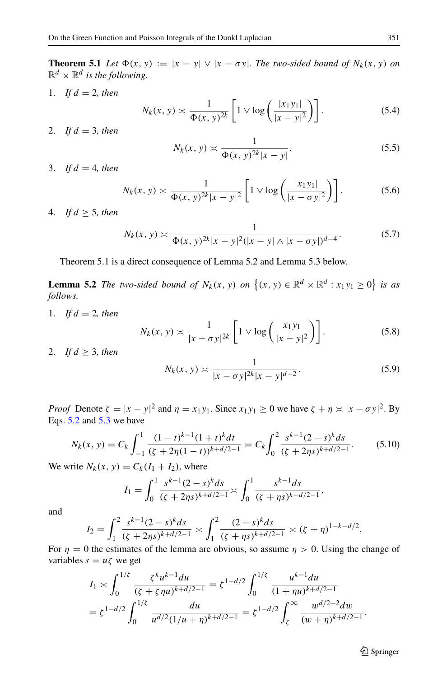**Theorem 5.1** *Let*  $\Phi(x, y) := |x - y| \vee |x - \sigma y|$ *. The two-sided bound of*  $N_k(x, y)$  *on*  $\mathbb{R}^d \times \mathbb{R}^d$  *is the following.* 

1. *If*  $d = 2$ *, then* 

$$
N_k(x, y) \asymp \frac{1}{\Phi(x, y)^{2k}} \left[ 1 \vee \log \left( \frac{|x_1 y_1|}{|x - y|^2} \right) \right]. \tag{5.4}
$$

2. *If d* = 3*, then*

$$
N_k(x, y) \asymp \frac{1}{\Phi(x, y)^{2k} |x - y|}.
$$
\n(5.5)

3. *If*  $d = 4$ *, then* 

<span id="page-14-3"></span>
$$
N_k(x, y) \asymp \frac{1}{\Phi(x, y)^{2k} |x - y|^2} \left[ 1 \vee \log \left( \frac{|x_1 y_1|}{|x - \sigma y|^2} \right) \right].
$$
 (5.6)

4. *If*  $d \geq 5$ *, then* 

<span id="page-14-4"></span>
$$
N_k(x, y) \asymp \frac{1}{\Phi(x, y)^{2k} |x - y|^2 (|x - y| \wedge |x - \sigma y|)^{d - 4}}.
$$
\n(5.7)

Theorem 5.1 is a direct consequence of Lemma 5.2 and Lemma 5.3 below.

**Lemma 5.2** *The two-sided bound of*  $N_k(x, y)$  *on*  $\{(x, y) \in \mathbb{R}^d \times \mathbb{R}^d : x_1y_1 \ge 0\}$  *is as follows.*

1. *If*  $d = 2$ *, then* 

<span id="page-14-0"></span>
$$
N_k(x, y) \asymp \frac{1}{|x - \sigma y|^{2k}} \left[ 1 \vee \log \left( \frac{x_1 y_1}{|x - y|^2} \right) \right].
$$
 (5.8)

2. *If d* ≥ 3*, then*

<span id="page-14-1"></span>
$$
N_k(x, y) \asymp \frac{1}{|x - \sigma y|^{2k} |x - y|^{d - 2}}.
$$
\n(5.9)

*Proof* Denote  $\zeta = |x - y|^2$  and  $\eta = x_1y_1$ . Since  $x_1y_1 \ge 0$  we have  $\zeta + \eta \asymp |x - \sigma y|^2$ . By Eqs. [5.2](#page-13-1) and [5.3](#page-13-2) we have

<span id="page-14-2"></span>
$$
N_k(x, y) = C_k \int_{-1}^1 \frac{(1-t)^{k-1}(1+t)^k dt}{(\zeta + 2\eta(1-t))^{k+d/2 - 1}} = C_k \int_0^2 \frac{s^{k-1}(2-s)^k ds}{(\zeta + 2\eta s)^{k+d/2 - 1}}.
$$
(5.10)

We write  $N_k(x, y) = C_k(I_1 + I_2)$ , where

$$
I_1 = \int_0^1 \frac{s^{k-1}(2-s)^k ds}{(\zeta+2\eta s)^{k+d/2-1}} \asymp \int_0^1 \frac{s^{k-1} ds}{(\zeta+\eta s)^{k+d/2-1}},
$$

and

$$
I_2 = \int_1^2 \frac{s^{k-1}(2-s)^k ds}{(\zeta+2\eta s)^{k+d/2-1}} \approx \int_1^2 \frac{(2-s)^k ds}{(\zeta+\eta s)^{k+d/2-1}} \approx (\zeta+\eta)^{1-k-d/2}.
$$

For  $\eta = 0$  the estimates of the lemma are obvious, so assume  $\eta > 0$ . Using the change of variables  $s = u\zeta$  we get

$$
I_1 \approx \int_0^{1/\zeta} \frac{\zeta^k u^{k-1} du}{(\zeta + \zeta \eta u)^{k+d/2-1}} = \zeta^{1-d/2} \int_0^{1/\zeta} \frac{u^{k-1} du}{(1 + \eta u)^{k+d/2-1}}
$$
  
=  $\zeta^{1-d/2} \int_0^{1/\zeta} \frac{du}{u^{d/2} (1/u + \eta)^{k+d/2-1}} = \zeta^{1-d/2} \int_\zeta^\infty \frac{w^{d/2-2} dv}{(w + \eta)^{k+d/2-1}}.$ 

 $\mathcal{D}$  Springer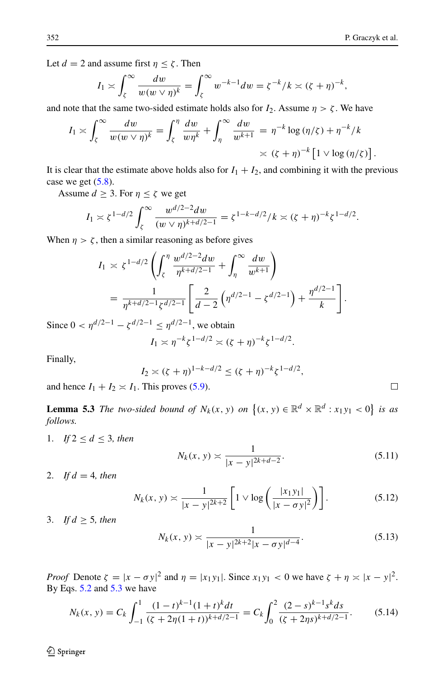$\Box$ 

Let  $d = 2$  and assume first  $\eta \leq \zeta$ . Then

$$
I_1 \asymp \int_{\zeta}^{\infty} \frac{dw}{w(w \vee \eta)^k} = \int_{\zeta}^{\infty} w^{-k-1} dw = \zeta^{-k} / k \asymp (\zeta + \eta)^{-k},
$$

and note that the same two-sided estimate holds also for  $I_2$ . Assume  $\eta > \zeta$ . We have

$$
I_1 \asymp \int_{\zeta}^{\infty} \frac{dw}{w(w \vee \eta)^k} = \int_{\zeta}^{\eta} \frac{dw}{w\eta^k} + \int_{\eta}^{\infty} \frac{dw}{w^{k+1}} = \eta^{-k} \log(\eta/\zeta) + \eta^{-k}/k
$$
  
 
$$
\asymp (\zeta + \eta)^{-k} \left[1 \vee \log(\eta/\zeta)\right].
$$

It is clear that the estimate above holds also for  $I_1 + I_2$ , and combining it with the previous case we get  $(5.8)$ .

Assume  $d \geq 3$ . For  $\eta \leq \zeta$  we get

$$
I_1 \asymp \zeta^{1-d/2} \int_{\zeta}^{\infty} \frac{w^{d/2-2} dw}{(w \vee \eta)^{k+d/2-1}} = \zeta^{1-k-d/2} / k \asymp (\zeta + \eta)^{-k} \zeta^{1-d/2}.
$$

When  $\eta > \zeta$ , then a similar reasoning as before gives

$$
I_1 \approx \zeta^{1-d/2} \left( \int_{\zeta}^{\eta} \frac{w^{d/2 - 2} dw}{\eta^{k+d/2 - 1}} + \int_{\eta}^{\infty} \frac{dw}{w^{k+1}} \right)
$$
  
= 
$$
\frac{1}{\eta^{k+d/2 - 1} \zeta^{d/2 - 1}} \left[ \frac{2}{d - 2} \left( \eta^{d/2 - 1} - \zeta^{d/2 - 1} \right) + \frac{\eta^{d/2 - 1}}{k} \right].
$$

Since  $0 < \eta^{d/2-1} - \zeta^{d/2-1} \le \eta^{d/2-1}$ , we obtain

$$
I_1 \asymp \eta^{-k} \zeta^{1-d/2} \asymp (\zeta + \eta)^{-k} \zeta^{1-d/2}.
$$

Finally,

$$
I_2 \asymp (\zeta + \eta)^{1-k-d/2} \le (\zeta + \eta)^{-k} \zeta^{1-d/2},
$$

and hence  $I_1 + I_2 \approx I_1$ . This proves [\(5.9\)](#page-14-1).

**Lemma 5.3** *The two-sided bound of*  $N_k(x, y)$  *on*  $\{(x, y) \in \mathbb{R}^d \times \mathbb{R}^d : x_1y_1 < 0\}$  *is as follows.*

1. *If*  $2 \le d \le 3$ *, then* 

$$
N_k(x, y) \asymp \frac{1}{|x - y|^{2k + d - 2}}.\tag{5.11}
$$

2. If  $d = 4$ , then

<span id="page-15-2"></span>
$$
N_k(x, y) \asymp \frac{1}{|x - y|^{2k+2}} \left[ 1 \vee \log \left( \frac{|x_1 y_1|}{|x - \sigma y|^2} \right) \right].
$$
 (5.12)

3. If 
$$
d \geq 5
$$
, then

<span id="page-15-0"></span>
$$
N_k(x, y) \asymp \frac{1}{|x - y|^{2k + 2}|x - \sigma y|^{d - 4}}.
$$
\n(5.13)

*Proof* Denote  $\zeta = |x - \sigma y|^2$  and  $\eta = |x_1y_1|$ . Since  $x_1y_1 < 0$  we have  $\zeta + \eta \asymp |x - y|^2$ . By Eqs. [5.2](#page-13-1) and [5.3](#page-13-2) we have

<span id="page-15-1"></span>
$$
N_k(x, y) = C_k \int_{-1}^1 \frac{(1-t)^{k-1}(1+t)^k dt}{(\zeta + 2\eta(1+t))^{k+d/2-1}} = C_k \int_0^2 \frac{(2-s)^{k-1} s^k ds}{(\zeta + 2\eta s)^{k+d/2-1}}.
$$
(5.14)

 $\mathcal{D}$  Springer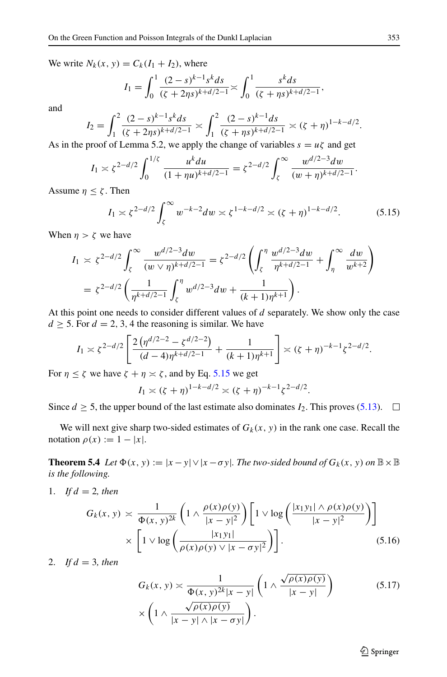We write  $N_k(x, y) = C_k(I_1 + I_2)$ , where

$$
I_1 = \int_0^1 \frac{(2-s)^{k-1} s^k ds}{(\zeta + 2\eta s)^{k+d/2-1}} \approx \int_0^1 \frac{s^k ds}{(\zeta + \eta s)^{k+d/2-1}},
$$

and

$$
I_2 = \int_1^2 \frac{(2-s)^{k-1} s^k ds}{(\zeta + 2\eta s)^{k+d/2 - 1}} \approx \int_1^2 \frac{(2-s)^{k-1} ds}{(\zeta + \eta s)^{k+d/2 - 1}} \approx (\zeta + \eta)^{1-k-d/2}.
$$

As in the proof of Lemma 5.2, we apply the change of variables  $s = u\zeta$  and get

$$
I_1 \asymp \zeta^{2-d/2} \int_0^{1/\zeta} \frac{u^k du}{(1+ \eta u)^{k+d/2-1}} = \zeta^{2-d/2} \int_{\zeta}^{\infty} \frac{w^{d/2-3} dw}{(w+\eta)^{k+d/2-1}}.
$$

Assume  $\eta \leq \zeta$ . Then

<span id="page-16-0"></span>
$$
I_1 \asymp \zeta^{2-d/2} \int_{\zeta}^{\infty} w^{-k-2} dw \asymp \zeta^{1-k-d/2} \asymp (\zeta + \eta)^{1-k-d/2}.
$$
 (5.15)

When  $\eta > \zeta$  we have

$$
I_1 \asymp \zeta^{2-d/2} \int_{\zeta}^{\infty} \frac{w^{d/2-3} dw}{(w \vee \eta)^{k+d/2-1}} = \zeta^{2-d/2} \left( \int_{\zeta}^{\eta} \frac{w^{d/2-3} dw}{\eta^{k+d/2-1}} + \int_{\eta}^{\infty} \frac{dw}{w^{k+2}} \right)
$$
  
=  $\zeta^{2-d/2} \left( \frac{1}{\eta^{k+d/2-1}} \int_{\zeta}^{\eta} w^{d/2-3} dw + \frac{1}{(k+1)\eta^{k+1}} \right).$ 

At this point one needs to consider different values of *d* separately. We show only the case  $d \geq 5$ . For  $d = 2, 3, 4$  the reasoning is similar. We have

$$
I_1 \asymp \zeta^{2-d/2} \left[ \frac{2 \left( \eta^{d/2-2} - \zeta^{d/2-2} \right)}{(d-4) \eta^{k+d/2-1}} + \frac{1}{(k+1) \eta^{k+1}} \right] \asymp (\zeta + \eta)^{-k-1} \zeta^{2-d/2}.
$$

For  $η \le \zeta$  we have  $\zeta + η \asymp \zeta$ , and by Eq. [5.15](#page-16-0) we get

$$
I_1 \asymp (\zeta + \eta)^{1-k-d/2} \asymp (\zeta + \eta)^{-k-1} \zeta^{2-d/2}.
$$

Since  $d \geq 5$ , the upper bound of the last estimate also dominates  $I_2$ . This proves [\(5.13\)](#page-15-0).  $\Box$ 

We will next give sharp two-sided estimates of  $G_k(x, y)$  in the rank one case. Recall the notation  $\rho(x) := 1 - |x|$ .

**Theorem 5.4** *Let*  $\Phi(x, y) := |x - y| \vee |x - \sigma y|$ *. The two-sided bound of*  $G_k(x, y)$  *on*  $\mathbb{B} \times \mathbb{B}$ *is the following.*

1. *If*  $d = 2$ *, then* 

$$
G_k(x, y) \approx \frac{1}{\Phi(x, y)^{2k}} \left( 1 \wedge \frac{\rho(x)\rho(y)}{|x - y|^2} \right) \left[ 1 \vee \log \left( \frac{|x_1y_1| \wedge \rho(x)\rho(y)}{|x - y|^2} \right) \right]
$$

$$
\times \left[ 1 \vee \log \left( \frac{|x_1y_1|}{\rho(x)\rho(y) \vee |x - \sigma y|^2} \right) \right].
$$
(5.16)

2. *If*  $d = 3$ *, then* 

$$
G_k(x, y) \asymp \frac{1}{\Phi(x, y)^{2k} |x - y|} \left( 1 \wedge \frac{\sqrt{\rho(x)\rho(y)}}{|x - y|} \right)
$$
(5.17)  

$$
\times \left( 1 \wedge \frac{\sqrt{\rho(x)\rho(y)}}{|x - y| \wedge |x - \sigma y|} \right).
$$

2 Springer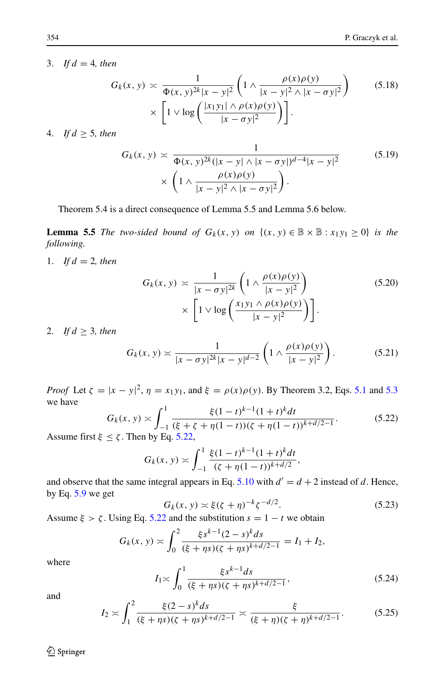3. *If*  $d = 4$ *, then* 

$$
G_k(x, y) \asymp \frac{1}{\Phi(x, y)^{2k} |x - y|^2} \left( 1 \wedge \frac{\rho(x)\rho(y)}{|x - y|^2 \wedge |x - \sigma y|^2} \right) \qquad (5.18)
$$

$$
\times \left[ 1 \vee \log \left( \frac{|x_1 y_1| \wedge \rho(x)\rho(y)}{|x - \sigma y|^2} \right) \right].
$$

4. *If*  $d \geq 5$ *, then* 

$$
G_k(x, y) \simeq \frac{1}{\Phi(x, y)^{2k} (|x - y| \wedge |x - \sigma y|)^{d-4} |x - y|^2} \times \left(1 \wedge \frac{\rho(x)\rho(y)}{|x - y|^2 \wedge |x - \sigma y|^2}\right).
$$
\n
$$
(5.19)
$$

Theorem 5.4 is a direct consequence of Lemma 5.5 and Lemma 5.6 below.

**Lemma 5.5** *The two-sided bound of*  $G_k(x, y)$  *on*  $\{(x, y) \in \mathbb{B} \times \mathbb{B} : x_1y_1 \ge 0\}$  *is the following.*

1. *If*  $d = 2$ *, then* 

$$
G_k(x, y) \approx \frac{1}{|x - \sigma y|^{2k}} \left( 1 \wedge \frac{\rho(x)\rho(y)}{|x - y|^2} \right) \times \left[ 1 \vee \log \left( \frac{x_1 y_1 \wedge \rho(x)\rho(y)}{|x - y|^2} \right) \right].
$$
 (5.20)

2. *If d* ≥ 3*, then*

<span id="page-17-4"></span>
$$
G_k(x, y) \asymp \frac{1}{|x - \sigma y|^{2k} |x - y|^{d-2}} \left( 1 \wedge \frac{\rho(x)\rho(y)}{|x - y|^2} \right). \tag{5.21}
$$

*Proof* Let  $\zeta = |x - y|^2$ ,  $\eta = x_1y_1$ , and  $\xi = \rho(x)\rho(y)$ . By Theorem 3.2, Eqs. [5.1](#page-13-3) and [5.3](#page-13-2) we have

<span id="page-17-0"></span>
$$
G_k(x, y) \approx \int_{-1}^1 \frac{\xi(1-t)^{k-1}(1+t)^k dt}{(\xi + \zeta + \eta(1-t))(\zeta + \eta(1-t))^{k+d/2-1}}.
$$
 (5.22)  
 $\le \zeta$ . Then by Eq. 5.22,

Assume first ξ

$$
G_k(x, y) \asymp \int_{-1}^1 \frac{\xi(1-t)^{k-1}(1+t)^k dt}{(\zeta + \eta(1-t))^{k+d/2}},
$$

and observe that the same integral appears in Eq. [5.10](#page-14-2) with  $d' = d + 2$  instead of *d*. Hence, by Eq. [5.9](#page-14-1) we get

<span id="page-17-3"></span>
$$
G_k(x, y) \asymp \xi(\zeta + \eta)^{-k} \zeta^{-d/2}.
$$
 (5.23)

Assume  $\xi > \zeta$ . Using Eq. [5.22](#page-17-0) and the substitution  $s = 1 - t$  we obtain

$$
G_k(x, y) \asymp \int_0^2 \frac{\xi s^{k-1} (2 - s)^k ds}{(\xi + \eta s)(\zeta + \eta s)^{k+d/2 - 1}} = I_1 + I_2,
$$

where

<span id="page-17-1"></span>
$$
I_1 \asymp \int_0^1 \frac{\xi s^{k-1} ds}{(\xi + \eta s)(\zeta + \eta s)^{k+d/2-1}},
$$
\n(5.24)

and

<span id="page-17-2"></span>
$$
I_2 \asymp \int_1^2 \frac{\xi(2-s)^k ds}{(\xi + \eta s)(\zeta + \eta s)^{k+d/2-1}} \asymp \frac{\xi}{(\xi + \eta)(\zeta + \eta)^{k+d/2-1}}.\tag{5.25}
$$

 $\mathcal{Q}$  Springer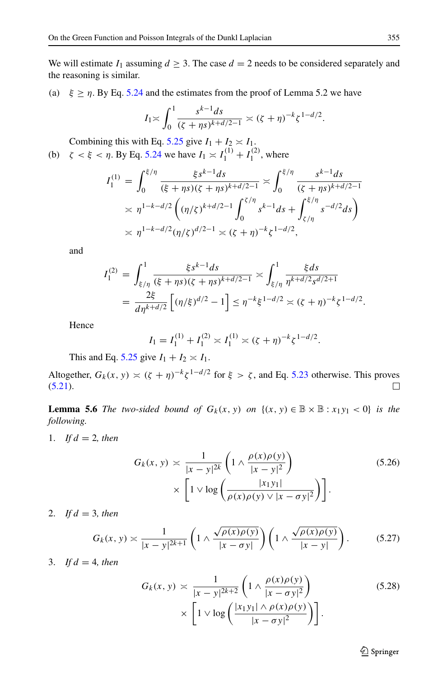We will estimate  $I_1$  assuming  $d \geq 3$ . The case  $d = 2$  needs to be considered separately and the reasoning is similar.

(a)  $\xi \ge \eta$ . By Eq. [5.24](#page-17-1) and the estimates from the proof of Lemma 5.2 we have

$$
I_1 \asymp \int_0^1 \frac{s^{k-1} ds}{(\zeta + \eta s)^{k+d/2-1}} \asymp (\zeta + \eta)^{-k} \zeta^{1-d/2}.
$$

Combining this with Eq. [5.25](#page-17-2) give  $I_1 + I_2 \n\le I_1$ . (b)  $\zeta < \xi < \eta$ . By Eq. [5.24](#page-17-1) we have  $I_1 \asymp I_1^{(1)} + I_1^{(2)}$ , where

$$
I_1^{(1)} = \int_0^{\xi/\eta} \frac{\xi s^{k-1} ds}{(\xi + \eta s)(\zeta + \eta s)^{k+d/2-1}} \asymp \int_0^{\xi/\eta} \frac{s^{k-1} ds}{(\zeta + \eta s)^{k+d/2-1}}
$$
  
 
$$
\asymp \eta^{1-k-d/2} \left( (\eta/\zeta)^{k+d/2-1} \int_0^{\zeta/\eta} s^{k-1} ds + \int_{\zeta/\eta}^{\xi/\eta} s^{-d/2} ds \right)
$$
  
 
$$
\asymp \eta^{1-k-d/2} (\eta/\zeta)^{d/2-1} \asymp (\zeta + \eta)^{-k} \zeta^{1-d/2},
$$

and

$$
I_1^{(2)} = \int_{\xi/\eta}^1 \frac{\xi s^{k-1} ds}{(\xi + \eta s)(\zeta + \eta s)^{k+d/2-1}} \asymp \int_{\xi/\eta}^1 \frac{\xi ds}{\eta^{k+d/2} s^{d/2+1}}
$$
  
= 
$$
\frac{2\xi}{d\eta^{k+d/2}} \left[ (\eta/\xi)^{d/2} - 1 \right] \le \eta^{-k} \xi^{1-d/2} \asymp (\zeta + \eta)^{-k} \xi^{1-d/2}.
$$

Hence

$$
I_1 = I_1^{(1)} + I_1^{(2)} \asymp I_1^{(1)} \asymp (\zeta + \eta)^{-k} \zeta^{1-d/2}.
$$

This and Eq. [5.25](#page-17-2) give  $I_1 + I_2 \approx I_1$ .

Altogether,  $G_k(x, y) \approx (\zeta + \eta)^{-k} \zeta^{1-d/2}$  for  $\xi > \zeta$ , and Eq. [5.23](#page-17-3) otherwise. This proves (5.21).  $(5.21).$  $(5.21).$ 

**Lemma 5.6** *The two-sided bound of*  $G_k(x, y)$  *on*  $\{(x, y) \in \mathbb{B} \times \mathbb{B} : x_1y_1 < 0\}$  *is the following.*

1. *If*  $d = 2$ *, then* 

$$
G_k(x, y) \asymp \frac{1}{|x - y|^{2k}} \left( 1 \wedge \frac{\rho(x)\rho(y)}{|x - y|^2} \right) \tag{5.26}
$$

$$
\times \left[ 1 \vee \log \left( \frac{|x_1y_1|}{\rho(x)\rho(y) \vee |x - \sigma y|^2} \right) \right].
$$

2. *If*  $d = 3$ *, then* 

$$
G_k(x, y) \asymp \frac{1}{|x - y|^{2k+1}} \left( 1 \wedge \frac{\sqrt{\rho(x)\rho(y)}}{|x - \sigma y|} \right) \left( 1 \wedge \frac{\sqrt{\rho(x)\rho(y)}}{|x - y|} \right). \tag{5.27}
$$

3. *If d* = 4*, then*

$$
G_k(x, y) \simeq \frac{1}{|x - y|^{2k+2}} \left( 1 \wedge \frac{\rho(x)\rho(y)}{|x - \sigma y|^2} \right) \times \left[ 1 \vee \log \left( \frac{|x_1 y_1| \wedge \rho(x)\rho(y)}{|x - \sigma y|^2} \right) \right].
$$
 (5.28)

 $\mathcal{D}$  Springer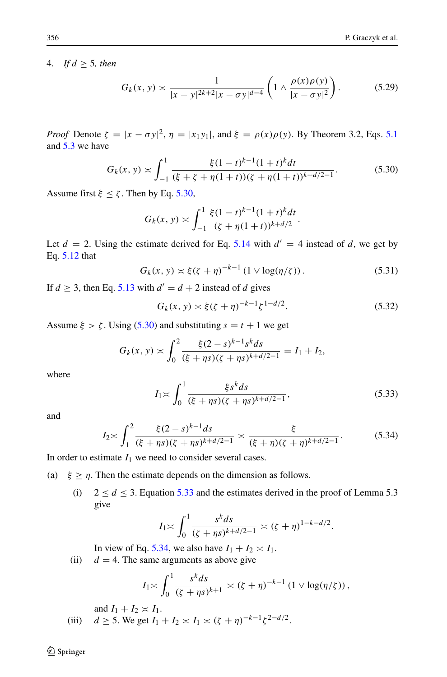4. *If*  $d \geq 5$ *, then* 

<span id="page-19-5"></span>
$$
G_k(x, y) \asymp \frac{1}{|x - y|^{2k + 2} |x - \sigma y|^{d - 4}} \left( 1 \wedge \frac{\rho(x)\rho(y)}{|x - \sigma y|^2} \right). \tag{5.29}
$$

*Proof* Denote  $\zeta = |x - \sigma y|^2$ ,  $\eta = |x_1y_1|$ , and  $\xi = \rho(x)\rho(y)$ . By Theorem 3.2, Eqs. [5.1](#page-13-3) and [5.3](#page-13-2) we have

<span id="page-19-0"></span>
$$
G_k(x, y) \asymp \int_{-1}^1 \frac{\xi(1-t)^{k-1}(1+t)^k dt}{(\xi + \zeta + \eta(1+t))(\zeta + \eta(1+t))^{k+d/2-1}}.
$$
 (5.30)

Assume first  $\xi \le \zeta$ . Then by Eq. [5.30,](#page-19-0)

$$
G_k(x, y) \asymp \int_{-1}^1 \frac{\xi(1-t)^{k-1}(1+t)^k dt}{(\xi + \eta(1+t))^{k+d/2}}.
$$

Let  $d = 2$ . Using the estimate derived for Eq. [5.14](#page-15-1) with  $d' = 4$  instead of *d*, we get by Eq. [5.12](#page-15-2) that

$$
G_k(x, y) \asymp \xi(\zeta + \eta)^{-k-1} (1 \vee \log(\eta/\zeta)).
$$
 (5.31)

If  $d \geq 3$ , then Eq. [5.13](#page-15-0) with  $d' = d + 2$  instead of *d* gives

<span id="page-19-4"></span>
$$
G_k(x, y) \asymp \xi(\zeta + \eta)^{-k-1} \zeta^{1-d/2}.
$$
 (5.32)

Assume  $\xi > \zeta$ . Using [\(5.30\)](#page-19-0) and substituting  $s = t + 1$  we get

$$
G_k(x, y) \asymp \int_0^2 \frac{\xi(2-s)^{k-1} s^k ds}{(\xi + \eta s)(\xi + \eta s)^{k+d/2-1}} = I_1 + I_2,
$$

where

<span id="page-19-1"></span>
$$
I_1 \asymp \int_0^1 \frac{\xi s^k ds}{(\xi + \eta s)(\zeta + \eta s)^{k + d/2 - 1}},
$$
\n(5.33)

and

<span id="page-19-2"></span>
$$
I_2 \asymp \int_1^2 \frac{\xi(2-s)^{k-1} ds}{(\xi + \eta s)(\zeta + \eta s)^{k+d/2-1}} \asymp \frac{\xi}{(\xi + \eta)(\zeta + \eta)^{k+d/2-1}}.
$$
(5.34)

In order to estimate  $I_1$  we need to consider several cases.

(a)  $\xi \geq \eta$ . Then the estimate depends on the dimension as follows.

(i)  $2 \le d \le 3$ . Equation [5.33](#page-19-1) and the estimates derived in the proof of Lemma 5.3 give

$$
I_1 \asymp \int_0^1 \frac{s^k ds}{(\zeta + \eta s)^{k+d/2-1}} \asymp (\zeta + \eta)^{1-k-d/2}.
$$

In view of Eq. [5.34,](#page-19-2) we also have  $I_1 + I_2 \approx I_1$ .

(ii)  $d = 4$ . The same arguments as above give

<span id="page-19-3"></span>
$$
I_1 \asymp \int_0^1 \frac{s^k ds}{(\zeta + \eta s)^{k+1}} \asymp (\zeta + \eta)^{-k-1} (1 \vee \log(\eta/\zeta)),
$$

and  $I_1 + I_2 \approx I_1$ . (iii)  $d \ge 5$ . We get  $I_1 + I_2 \asymp I_1 \asymp (\zeta + \eta)^{-k-1} \zeta^{2-d/2}$ .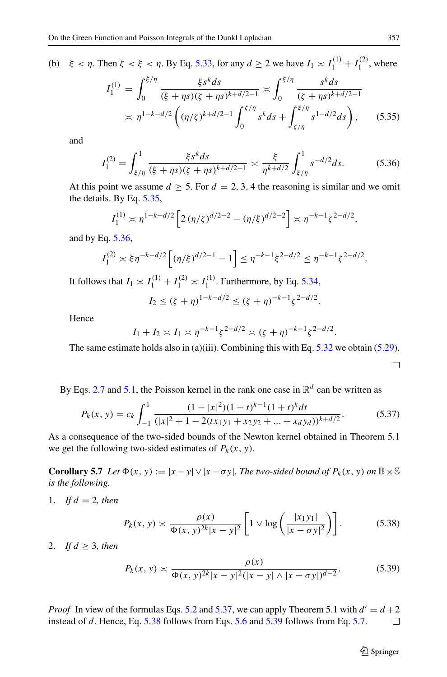(b)  $\xi < \eta$ . Then  $\zeta < \xi < \eta$ . By Eq. [5.33,](#page-19-1) for any  $d \ge 2$  we have  $I_1 \asymp I_1^{(1)} + I_1^{(2)}$ , where

$$
I_1^{(1)} = \int_0^{\xi/\eta} \frac{\xi s^k ds}{(\xi + \eta s)(\zeta + \eta s)^{k + d/2 - 1}} \approx \int_0^{\xi/\eta} \frac{s^k ds}{(\zeta + \eta s)^{k + d/2 - 1}}
$$
  
 
$$
\approx \eta^{1 - k - d/2} \left( (\eta/\zeta)^{k + d/2 - 1} \int_0^{\zeta/\eta} s^k ds + \int_{\zeta/\eta}^{\xi/\eta} s^{1 - d/2} ds \right), \qquad (5.35)
$$

and

<span id="page-20-0"></span>
$$
I_1^{(2)} = \int_{\xi/\eta}^1 \frac{\xi s^k ds}{(\xi + \eta s)(\zeta + \eta s)^{k + d/2 - 1}} \approx \frac{\xi}{\eta^{k + d/2}} \int_{\xi/\eta}^1 s^{-d/2} ds. \tag{5.36}
$$

At this point we assume  $d \geq 5$ . For  $d = 2, 3, 4$  the reasoning is similar and we omit the details. By Eq. [5.35,](#page-19-3)

$$
I_1^{(1)} \asymp \eta^{1-k-d/2} \left[ 2 \left( \eta/\zeta \right)^{d/2-2} - \left( \eta/\xi \right)^{d/2-2} \right] \asymp \eta^{-k-1} \zeta^{2-d/2},
$$

and by Eq. [5.36,](#page-20-0)

$$
I_1^{(2)} \asymp \xi \eta^{-k-d/2} \left[ (\eta/\xi)^{d/2-1} - 1 \right] \le \eta^{-k-1} \xi^{2-d/2} \le \eta^{-k-1} \xi^{2-d/2}.
$$

It follows that  $I_1 \approx I_1^{(1)} + I_1^{(2)} \approx I_1^{(1)}$ . Furthermore, by Eq. [5.34,](#page-19-2)

$$
I_2 \leq (\zeta + \eta)^{1 - k - d/2} \leq (\zeta + \eta)^{-k - 1} \zeta^{2 - d/2}.
$$

Hence

$$
I_1 + I_2 \asymp I_1 \asymp \eta^{-k-1} \zeta^{2-d/2} \asymp (\zeta + \eta)^{-k-1} \zeta^{2-d/2}.
$$

The same estimate holds also in (a)(iii). Combining this with Eq. [5.32](#page-19-4) we obtain [\(5.29\)](#page-19-5).

 $\Box$ 

By Eqs. [2.7](#page-3-2) and [5.1,](#page-13-3) the Poisson kernel in the rank one case in  $\mathbb{R}^d$  can be written as

<span id="page-20-1"></span>
$$
P_k(x, y) = c_k \int_{-1}^1 \frac{(1 - |x|^2)(1 - t)^{k-1}(1 + t)^k dt}{(|x|^2 + 1 - 2(tx_1y_1 + x_2y_2 + \dots + x_dy_d))^{k + d/2}}.
$$
(5.37)

As a consequence of the two-sided bounds of the Newton kernel obtained in Theorem 5.1 we get the following two-sided estimates of  $P_k(x, y)$ .

**Corollary 5.7** *Let*  $\Phi(x, y) := |x - y| \vee |x - \sigma y|$ *. The two-sided bound of*  $P_k(x, y)$  *on*  $\mathbb{B} \times \mathbb{S}$ *is the following.*

1. *If*  $d = 2$ *, then* 

<span id="page-20-2"></span>
$$
P_k(x, y) \asymp \frac{\rho(x)}{\Phi(x, y)^{2k} |x - y|^2} \left[ 1 \vee \log \left( \frac{|x_1 y_1|}{|x - \sigma y|^2} \right) \right].
$$
 (5.38)

2. *If*  $d \geq 3$ *, then* 

<span id="page-20-3"></span>
$$
P_k(x, y) \asymp \frac{\rho(x)}{\Phi(x, y)^{2k} |x - y|^2 (|x - y| \wedge |x - \sigma y|)^{d - 2}}.
$$
 (5.39)

*Proof* In view of the formulas Eqs. [5.2](#page-13-1) and [5.37,](#page-20-1) we can apply Theorem 5.1 with  $d' = d + 2$  instead of *d*. Hence, Eq. 5.38 follows from Eqs. 5.6 and 5.39 follows from Eq. 5.7. instead of *d*. Hence, Eq. [5.38](#page-20-2) follows from Eqs. [5.6](#page-14-3) and [5.39](#page-20-3) follows from Eq. [5.7.](#page-14-4)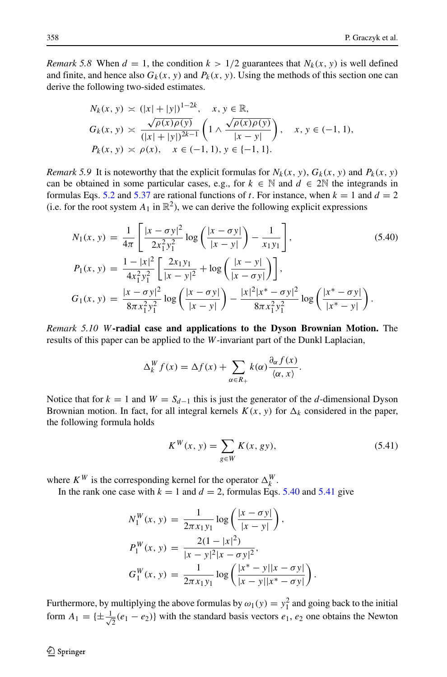*Remark* 5.8 When  $d = 1$ , the condition  $k > 1/2$  guarantees that  $N_k(x, y)$  is well defined and finite, and hence also  $G_k(x, y)$  and  $P_k(x, y)$ . Using the methods of this section one can derive the following two-sided estimates.

$$
N_k(x, y) \asymp (|x| + |y|)^{1-2k}, \quad x, y \in \mathbb{R},
$$
  
\n
$$
G_k(x, y) \asymp \frac{\sqrt{\rho(x)\rho(y)}}{(|x| + |y|)^{2k-1}} \left(1 \wedge \frac{\sqrt{\rho(x)\rho(y)}}{|x - y|}\right), \quad x, y \in (-1, 1),
$$
  
\n
$$
P_k(x, y) \asymp \rho(x), \quad x \in (-1, 1), y \in \{-1, 1\}.
$$

*Remark* 5.9 It is noteworthy that the explicit formulas for  $N_k(x, y)$ ,  $G_k(x, y)$  and  $P_k(x, y)$ can be obtained in some particular cases, e.g., for  $k \in \mathbb{N}$  and  $d \in 2\mathbb{N}$  the integrands in formulas Eqs. [5.2](#page-13-1) and [5.37](#page-20-1) are rational functions of *t*. For instance, when  $k = 1$  and  $d = 2$ (i.e. for the root system  $A_1$  in  $\mathbb{R}^2$ ), we can derive the following explicit expressions

<span id="page-21-0"></span>
$$
N_1(x, y) = \frac{1}{4\pi} \left[ \frac{|x - \sigma y|^2}{2x_1^2 y_1^2} \log \left( \frac{|x - \sigma y|}{|x - y|} \right) - \frac{1}{x_1 y_1} \right],
$$
(5.40)  
\n
$$
P_1(x, y) = \frac{1 - |x|^2}{4x_1^2 y_1^2} \left[ \frac{2x_1 y_1}{|x - y|^2} + \log \left( \frac{|x - y|}{|x - \sigma y|} \right) \right],
$$
  
\n
$$
G_1(x, y) = \frac{|x - \sigma y|^2}{8\pi x_1^2 y_1^2} \log \left( \frac{|x - \sigma y|}{|x - y|} \right) - \frac{|x|^2 |x^* - \sigma y|^2}{8\pi x_1^2 y_1^2} \log \left( \frac{|x^* - \sigma y|}{|x^* - y|} \right).
$$

*Remark 5.10 W***-radial case and applications to the Dyson Brownian Motion.** The results of this paper can be applied to the *W*-invariant part of the Dunkl Laplacian,

$$
\Delta_k^W f(x) = \Delta f(x) + \sum_{\alpha \in R_+} k(\alpha) \frac{\partial_{\alpha} f(x)}{\langle \alpha, x \rangle}.
$$

Notice that for  $k = 1$  and  $W = S_{d-1}$  this is just the generator of the *d*-dimensional Dyson Brownian motion. In fact, for all integral kernels  $K(x, y)$  for  $\Delta_k$  considered in the paper, the following formula holds

<span id="page-21-1"></span>
$$
K^{W}(x, y) = \sum_{g \in W} K(x, gy),
$$
\n(5.41)

where  $K^W$  is the corresponding kernel for the operator  $\Delta_k^W$ .

In the rank one case with  $k = 1$  and  $d = 2$ , formulas Eqs. [5.40](#page-21-0) and [5.41](#page-21-1) give

$$
N_1^W(x, y) = \frac{1}{2\pi x_1 y_1} \log \left( \frac{|x - \sigma y|}{|x - y|} \right),
$$
  
\n
$$
P_1^W(x, y) = \frac{2(1 - |x|^2)}{|x - y|^2 |x - \sigma y|^2},
$$
  
\n
$$
G_1^W(x, y) = \frac{1}{2\pi x_1 y_1} \log \left( \frac{|x^* - y||x - \sigma y|}{|x - y||x^* - \sigma y|} \right).
$$

Furthermore, by multiplying the above formulas by  $\omega_1(y) = y_1^2$  and going back to the initial form  $A_1 = \{\pm \frac{1}{\sqrt{2}}\}$  $\frac{1}{2}(e_1 - e_2)$ } with the standard basis vectors  $e_1$ ,  $e_2$  one obtains the Newton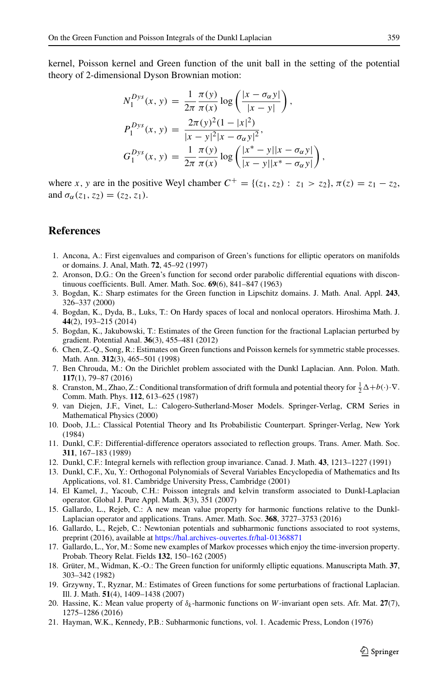kernel, Poisson kernel and Green function of the unit ball in the setting of the potential theory of 2-dimensional Dyson Brownian motion:

$$
N_1^{Dys}(x, y) = \frac{1}{2\pi} \frac{\pi(y)}{\pi(x)} \log \left( \frac{|x - \sigma_{\alpha}y|}{|x - y|} \right),
$$
  
\n
$$
P_1^{Dys}(x, y) = \frac{2\pi(y)^2 (1 - |x|^2)}{|x - y|^2 |x - \sigma_{\alpha}y|^2},
$$
  
\n
$$
G_1^{Dys}(x, y) = \frac{1}{2\pi} \frac{\pi(y)}{\pi(x)} \log \left( \frac{|x^* - y||x - \sigma_{\alpha}y|}{|x - y||x^* - \sigma_{\alpha}y|} \right)
$$

where *x*, *y* are in the positive Weyl chamber  $C^+ = \{(z_1, z_2) : z_1 > z_2\}, \pi(z) = z_1 - z_2$ , and  $\sigma_{\alpha}(z_1, z_2) = (z_2, z_1)$ .

## **References**

- <span id="page-22-7"></span>1. Ancona, A.: First eigenvalues and comparison of Green's functions for elliptic operators on manifolds or domains. J. Anal, Math. **72**, 45–92 (1997)
- <span id="page-22-8"></span>2. Aronson, D.G.: On the Green's function for second order parabolic differential equations with discontinuous coefficients. Bull. Amer. Math. Soc. **69**(6), 841–847 (1963)
- <span id="page-22-6"></span>3. Bogdan, K.: Sharp estimates for the Green function in Lipschitz domains. J. Math. Anal. Appl. **243**, 326–337 (2000)
- <span id="page-22-14"></span>4. Bogdan, K., Dyda, B., Luks, T.: On Hardy spaces of local and nonlocal operators. Hiroshima Math. J. **44**(2), 193–215 (2014)
- <span id="page-22-11"></span>5. Bogdan, K., Jakubowski, T.: Estimates of the Green function for the fractional Laplacian perturbed by gradient. Potential Anal. **36**(3), 455–481 (2012)
- <span id="page-22-12"></span>6. Chen, Z.-Q., Song, R.: Estimates on Green functions and Poisson kernels for symmetric stable processes. Math. Ann. **312**(3), 465–501 (1998)
- <span id="page-22-2"></span>7. Ben Chrouda, M.: On the Dirichlet problem associated with the Dunkl Laplacian. Ann. Polon. Math. **117**(1), 79–87 (2016)
- <span id="page-22-9"></span>8. Cranston, M., Zhao, Z.: Conditional transformation of drift formula and potential theory for  $\frac{1}{2}\Delta + b(\cdot)\cdot\nabla$ . Comm. Math. Phys. **112**, 613–625 (1987)
- <span id="page-22-0"></span>9. van Diejen, J.F., Vinet, L.: Calogero-Sutherland-Moser Models. Springer-Verlag, CRM Series in Mathematical Physics (2000)
- <span id="page-22-19"></span>10. Doob, J.L.: Classical Potential Theory and Its Probabilistic Counterpart. Springer-Verlag, New York (1984)
- <span id="page-22-15"></span>11. Dunkl, C.F.: Differential-difference operators associated to reflection groups. Trans. Amer. Math. Soc. **311**, 167–183 (1989)
- <span id="page-22-16"></span>12. Dunkl, C.F.: Integral kernels with reflection group invariance. Canad. J. Math. **43**, 1213–1227 (1991)
- <span id="page-22-17"></span>13. Dunkl, C.F., Xu, Y.: Orthogonal Polynomials of Several Variables Encyclopedia of Mathematics and Its Applications, vol. 81. Cambridge University Press, Cambridge (2001)
- <span id="page-22-18"></span>14. El Kamel, J., Yacoub, C.H.: Poisson integrals and kelvin transform associated to Dunkl-Laplacian operator. Global J. Pure Appl. Math. **3**(3), 351 (2007)
- <span id="page-22-3"></span>15. Gallardo, L., Rejeb, C.: A new mean value property for harmonic functions relative to the Dunkl-Laplacian operator and applications. Trans. Amer. Math. Soc. **368**, 3727–3753 (2016)
- <span id="page-22-4"></span>16. Gallardo, L., Rejeb, C.: Newtonian potentials and subharmonic functions associated to root systems, preprint (2016), available at <https://hal.archives-ouvertes.fr/hal-01368871>
- <span id="page-22-1"></span>17. Gallardo, L., Yor, M.: Some new examples of Markov processes which enjoy the time-inversion property. Probab. Theory Relat. Fields **132**, 150–162 (2005)
- <span id="page-22-10"></span>18. Grüter, M., Widman, K.-O.: The Green function for uniformly elliptic equations. Manuscripta Math. 37, 303–342 (1982)
- <span id="page-22-13"></span>19. Grzywny, T., Ryznar, M.: Estimates of Green functions for some perturbations of fractional Laplacian. Ill. J. Math. **51**(4), 1409–1438 (2007)
- <span id="page-22-5"></span>20. Hassine, K.: Mean value property of *δk* -harmonic functions on *W*-invariant open sets. Afr. Mat. **27**(7), 1275–1286 (2016)
- <span id="page-22-20"></span>21. Hayman, W.K., Kennedy, P.B.: Subharmonic functions, vol. 1. Academic Press, London (1976)

*,*